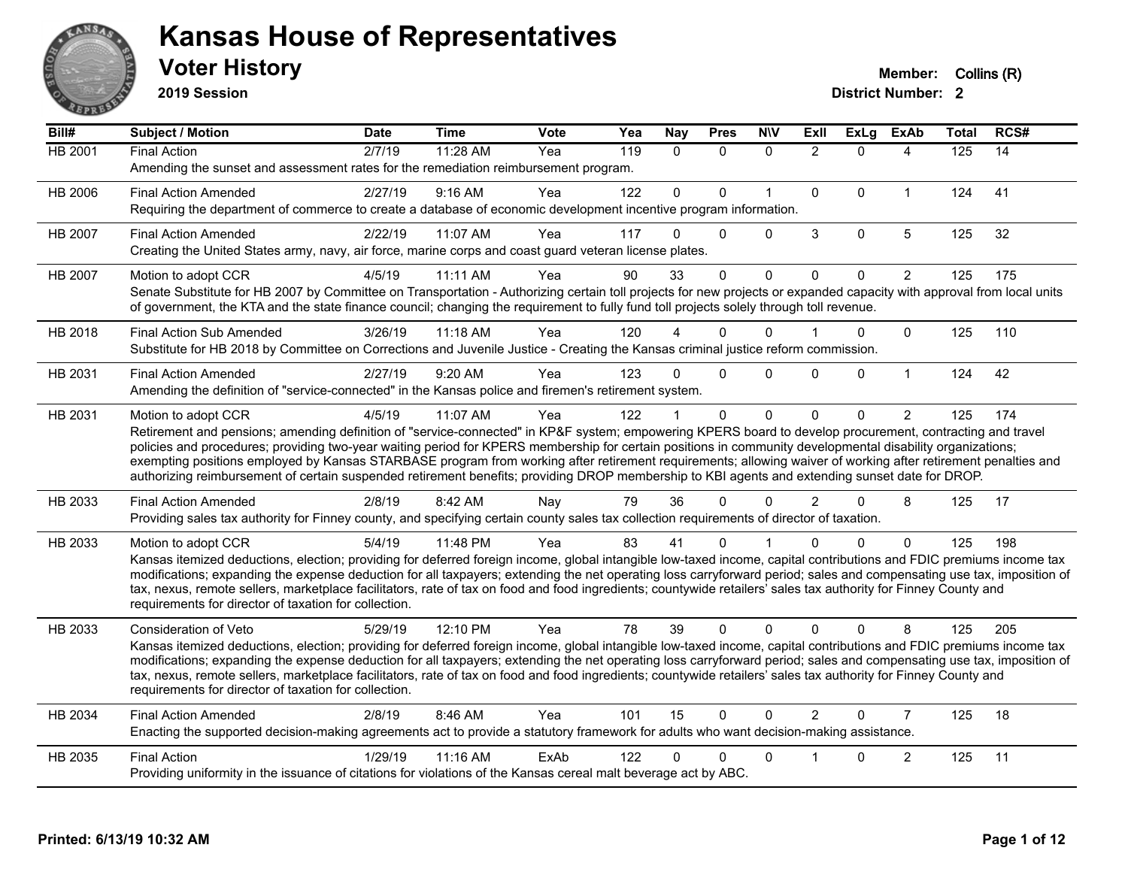

**2019 Session**

| Bill#          | Subject / Motion                                                                                                                                                                                                                                                                                                                             | <b>Date</b> | <b>Time</b> | <b>Vote</b> | Yea | Nay            | <b>Pres</b>  | <b>N\V</b>   | ExII           | ExLg        | <b>ExAb</b>    | Total | RCS# |
|----------------|----------------------------------------------------------------------------------------------------------------------------------------------------------------------------------------------------------------------------------------------------------------------------------------------------------------------------------------------|-------------|-------------|-------------|-----|----------------|--------------|--------------|----------------|-------------|----------------|-------|------|
| <b>HB 2001</b> | <b>Final Action</b>                                                                                                                                                                                                                                                                                                                          | 2/7/19      | 11:28 AM    | Yea         | 119 | $\Omega$       | $\mathbf{0}$ | $\mathbf{0}$ | $\overline{2}$ | $\Omega$    | 4              | 125   | 14   |
|                | Amending the sunset and assessment rates for the remediation reimbursement program.                                                                                                                                                                                                                                                          |             |             |             |     |                |              |              |                |             |                |       |      |
| HB 2006        | <b>Final Action Amended</b>                                                                                                                                                                                                                                                                                                                  | 2/27/19     | 9:16 AM     | Yea         | 122 | $\overline{0}$ | 0            | $\mathbf{1}$ | $\mathbf 0$    | $\Omega$    | $\mathbf{1}$   | 124   | 41   |
|                | Requiring the department of commerce to create a database of economic development incentive program information.                                                                                                                                                                                                                             |             |             |             |     |                |              |              |                |             |                |       |      |
| HB 2007        | <b>Final Action Amended</b>                                                                                                                                                                                                                                                                                                                  | 2/22/19     | 11:07 AM    | Yea         | 117 | 0              | $\Omega$     | 0            | 3              | 0           | 5              | 125   | 32   |
|                | Creating the United States army, navy, air force, marine corps and coast guard veteran license plates.                                                                                                                                                                                                                                       |             |             |             |     |                |              |              |                |             |                |       |      |
| HB 2007        | Motion to adopt CCR                                                                                                                                                                                                                                                                                                                          | 4/5/19      | 11:11 AM    | Yea         | 90  | 33             | $\Omega$     | $\mathbf{0}$ | $\mathbf{0}$   | $\Omega$    | $\overline{2}$ | 125   | 175  |
|                | Senate Substitute for HB 2007 by Committee on Transportation - Authorizing certain toll projects for new projects or expanded capacity with approval from local units                                                                                                                                                                        |             |             |             |     |                |              |              |                |             |                |       |      |
|                | of government, the KTA and the state finance council; changing the requirement to fully fund toll projects solely through toll revenue.                                                                                                                                                                                                      |             |             |             |     |                |              |              |                |             |                |       |      |
| HB 2018        | <b>Final Action Sub Amended</b>                                                                                                                                                                                                                                                                                                              | 3/26/19     | $11:18$ AM  | Yea         | 120 |                | $\Omega$     | $\Omega$     |                | 0           | $\mathbf{0}$   | 125   | 110  |
|                | Substitute for HB 2018 by Committee on Corrections and Juvenile Justice - Creating the Kansas criminal justice reform commission.                                                                                                                                                                                                            |             |             |             |     |                |              |              |                |             |                |       |      |
| HB 2031        | <b>Final Action Amended</b>                                                                                                                                                                                                                                                                                                                  | 2/27/19     | 9:20 AM     | Yea         | 123 | 0              | $\Omega$     | $\Omega$     | 0              | $\mathbf 0$ | $\mathbf{1}$   | 124   | 42   |
|                | Amending the definition of "service-connected" in the Kansas police and firemen's retirement system.                                                                                                                                                                                                                                         |             |             |             |     |                |              |              |                |             |                |       |      |
| HB 2031        | Motion to adopt CCR                                                                                                                                                                                                                                                                                                                          | 4/5/19      | 11:07 AM    | Yea         | 122 |                | $\mathbf{0}$ | $\Omega$     | $\Omega$       | $\Omega$    | $\overline{2}$ | 125   | 174  |
|                | Retirement and pensions; amending definition of "service-connected" in KP&F system; empowering KPERS board to develop procurement, contracting and travel                                                                                                                                                                                    |             |             |             |     |                |              |              |                |             |                |       |      |
|                | policies and procedures; providing two-year waiting period for KPERS membership for certain positions in community developmental disability organizations;<br>exempting positions employed by Kansas STARBASE program from working after retirement requirements; allowing waiver of working after retirement penalties and                  |             |             |             |     |                |              |              |                |             |                |       |      |
|                | authorizing reimbursement of certain suspended retirement benefits; providing DROP membership to KBI agents and extending sunset date for DROP.                                                                                                                                                                                              |             |             |             |     |                |              |              |                |             |                |       |      |
| HB 2033        | <b>Final Action Amended</b>                                                                                                                                                                                                                                                                                                                  | 2/8/19      | 8:42 AM     | Nay         | 79  | 36             | $\Omega$     | $\Omega$     | $\overline{2}$ | $\Omega$    | 8              | 125   | 17   |
|                | Providing sales tax authority for Finney county, and specifying certain county sales tax collection requirements of director of taxation.                                                                                                                                                                                                    |             |             |             |     |                |              |              |                |             |                |       |      |
| HB 2033        | Motion to adopt CCR                                                                                                                                                                                                                                                                                                                          | 5/4/19      | 11:48 PM    | Yea         | 83  | 41             | 0            |              | U              | 0           | $\Omega$       | 125   | 198  |
|                | Kansas itemized deductions, election; providing for deferred foreign income, global intangible low-taxed income, capital contributions and FDIC premiums income tax                                                                                                                                                                          |             |             |             |     |                |              |              |                |             |                |       |      |
|                | modifications; expanding the expense deduction for all taxpayers; extending the net operating loss carryforward period; sales and compensating use tax, imposition of                                                                                                                                                                        |             |             |             |     |                |              |              |                |             |                |       |      |
|                | tax, nexus, remote sellers, marketplace facilitators, rate of tax on food and food ingredients; countywide retailers' sales tax authority for Finney County and<br>requirements for director of taxation for collection.                                                                                                                     |             |             |             |     |                |              |              |                |             |                |       |      |
|                |                                                                                                                                                                                                                                                                                                                                              |             |             |             |     |                |              |              |                |             |                |       |      |
| HB 2033        | Consideration of Veto                                                                                                                                                                                                                                                                                                                        | 5/29/19     | 12:10 PM    | Yea         | 78  | 39             | $\Omega$     | $\Omega$     | $\Omega$       | $\Omega$    | 8              | 125   | 205  |
|                | Kansas itemized deductions, election; providing for deferred foreign income, global intangible low-taxed income, capital contributions and FDIC premiums income tax<br>modifications; expanding the expense deduction for all taxpayers; extending the net operating loss carryforward period; sales and compensating use tax, imposition of |             |             |             |     |                |              |              |                |             |                |       |      |
|                | tax, nexus, remote sellers, marketplace facilitators, rate of tax on food and food ingredients; countywide retailers' sales tax authority for Finney County and                                                                                                                                                                              |             |             |             |     |                |              |              |                |             |                |       |      |
|                | requirements for director of taxation for collection.                                                                                                                                                                                                                                                                                        |             |             |             |     |                |              |              |                |             |                |       |      |
| HB 2034        | <b>Final Action Amended</b>                                                                                                                                                                                                                                                                                                                  | 2/8/19      | 8:46 AM     | Yea         | 101 | 15             | $\mathbf{0}$ | $\Omega$     | $\mathcal{P}$  | $\Omega$    | $\overline{7}$ | 125   | 18   |
|                | Enacting the supported decision-making agreements act to provide a statutory framework for adults who want decision-making assistance.                                                                                                                                                                                                       |             |             |             |     |                |              |              |                |             |                |       |      |
| HB 2035        | <b>Final Action</b>                                                                                                                                                                                                                                                                                                                          | 1/29/19     | 11:16 AM    | ExAb        | 122 | 0              | $\Omega$     | $\mathbf{0}$ |                | $\Omega$    | $\overline{2}$ | 125   | 11   |
|                | Providing uniformity in the issuance of citations for violations of the Kansas cereal malt beverage act by ABC.                                                                                                                                                                                                                              |             |             |             |     |                |              |              |                |             |                |       |      |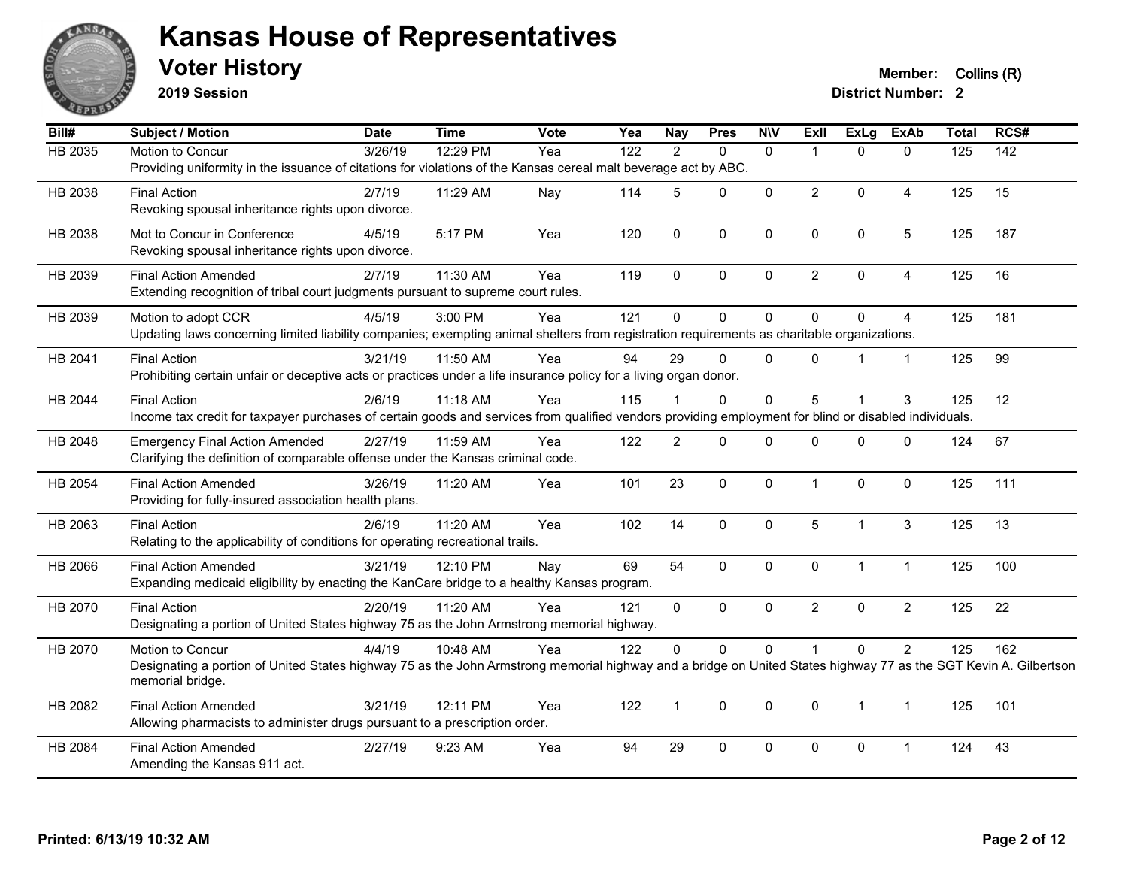

**2019 Session**

**Voter History Member:** Collins (R)

| Bill#   | Subject / Motion                                                                                                                                                                     | <b>Date</b> | <b>Time</b> | Vote | Yea              | <b>Nay</b>     | <b>Pres</b>  | <b>NIV</b>   | ExII           | <b>ExLg</b>  | <b>ExAb</b>     | <b>Total</b>   | RCS# |
|---------|--------------------------------------------------------------------------------------------------------------------------------------------------------------------------------------|-------------|-------------|------|------------------|----------------|--------------|--------------|----------------|--------------|-----------------|----------------|------|
| HB 2035 | Motion to Concur                                                                                                                                                                     | 3/26/19     | 12:29 PM    | Yea  | $\overline{122}$ | $\overline{2}$ | $\mathbf{0}$ | $\mathbf{0}$ | $\overline{1}$ | $\Omega$     | $\mathbf{0}$    | $\frac{1}{25}$ | 142  |
|         | Providing uniformity in the issuance of citations for violations of the Kansas cereal malt beverage act by ABC.                                                                      |             |             |      |                  |                |              |              |                |              |                 |                |      |
| HB 2038 | <b>Final Action</b>                                                                                                                                                                  | 2/7/19      | 11:29 AM    | Nay  | 114              | 5              | 0            | $\mathbf 0$  | $\overline{2}$ | 0            | 4               | 125            | 15   |
|         | Revoking spousal inheritance rights upon divorce.                                                                                                                                    |             |             |      |                  |                |              |              |                |              |                 |                |      |
| HB 2038 | Mot to Concur in Conference                                                                                                                                                          | 4/5/19      | 5:17 PM     | Yea  | 120              | $\mathbf 0$    | $\pmb{0}$    | $\pmb{0}$    | $\mathbf 0$    | 0            | $5\phantom{.0}$ | 125            | 187  |
|         | Revoking spousal inheritance rights upon divorce.                                                                                                                                    |             |             |      |                  |                |              |              |                |              |                 |                |      |
| HB 2039 | <b>Final Action Amended</b>                                                                                                                                                          | 2/7/19      | 11:30 AM    | Yea  | 119              | $\mathbf{0}$   | $\mathbf{0}$ | $\mathbf 0$  | $\overline{2}$ | $\Omega$     | $\overline{4}$  | 125            | 16   |
|         | Extending recognition of tribal court judgments pursuant to supreme court rules.                                                                                                     |             |             |      |                  |                |              |              |                |              |                 |                |      |
| HB 2039 | Motion to adopt CCR                                                                                                                                                                  | 4/5/19      | 3:00 PM     | Yea  | 121              | $\Omega$       | $\mathbf 0$  | $\Omega$     | $\Omega$       | $\Omega$     | $\overline{4}$  | 125            | 181  |
|         | Updating laws concerning limited liability companies; exempting animal shelters from registration requirements as charitable organizations.                                          |             |             |      |                  |                |              |              |                |              |                 |                |      |
| HB 2041 | <b>Final Action</b>                                                                                                                                                                  | 3/21/19     | 11:50 AM    | Yea  | 94               | 29             | $\mathbf{0}$ | $\mathbf{0}$ | $\Omega$       | 1            | $\mathbf{1}$    | 125            | 99   |
|         | Prohibiting certain unfair or deceptive acts or practices under a life insurance policy for a living organ donor.                                                                    |             |             |      |                  |                |              |              |                |              |                 |                |      |
| HB 2044 | <b>Final Action</b>                                                                                                                                                                  | 2/6/19      | $11:18$ AM  | Yea  | 115              |                | $\Omega$     | $\Omega$     | 5              | 1            | 3               | 125            | 12   |
|         | Income tax credit for taxpayer purchases of certain goods and services from qualified vendors providing employment for blind or disabled individuals.                                |             |             |      |                  |                |              |              |                |              |                 |                |      |
| HB 2048 | <b>Emergency Final Action Amended</b>                                                                                                                                                | 2/27/19     | 11:59 AM    | Yea  | 122              | $\overline{2}$ | $\mathbf{0}$ | $\mathbf 0$  | $\Omega$       | $\Omega$     | $\mathbf 0$     | 124            | 67   |
|         | Clarifying the definition of comparable offense under the Kansas criminal code.                                                                                                      |             |             |      |                  |                |              |              |                |              |                 |                |      |
| HB 2054 | <b>Final Action Amended</b>                                                                                                                                                          | 3/26/19     | 11:20 AM    | Yea  | 101              | 23             | $\mathbf 0$  | $\mathbf{0}$ | $\mathbf 1$    | $\mathbf 0$  | $\mathbf{0}$    | 125            | 111  |
|         | Providing for fully-insured association health plans.                                                                                                                                |             |             |      |                  |                |              |              |                |              |                 |                |      |
| HB 2063 | <b>Final Action</b>                                                                                                                                                                  | 2/6/19      | 11:20 AM    | Yea  | 102              | 14             | $\pmb{0}$    | $\pmb{0}$    | 5              | $\mathbf{1}$ | $\mathfrak{S}$  | 125            | 13   |
|         | Relating to the applicability of conditions for operating recreational trails.                                                                                                       |             |             |      |                  |                |              |              |                |              |                 |                |      |
| HB 2066 | <b>Final Action Amended</b>                                                                                                                                                          | 3/21/19     | 12:10 PM    | Nay  | 69               | 54             | $\mathbf{0}$ | $\mathbf{0}$ | $\mathbf{0}$   | $\mathbf{1}$ | $\mathbf{1}$    | 125            | 100  |
|         | Expanding medicaid eligibility by enacting the KanCare bridge to a healthy Kansas program.                                                                                           |             |             |      |                  |                |              |              |                |              |                 |                |      |
| HB 2070 | <b>Final Action</b>                                                                                                                                                                  | 2/20/19     | 11:20 AM    | Yea  | 121              | $\mathbf 0$    | $\mathbf 0$  | $\mathbf 0$  | $\overline{2}$ | 0            | $\overline{2}$  | 125            | 22   |
|         | Designating a portion of United States highway 75 as the John Armstrong memorial highway.                                                                                            |             |             |      |                  |                |              |              |                |              |                 |                |      |
| HB 2070 | Motion to Concur                                                                                                                                                                     | 4/4/19      | 10:48 AM    | Yea  | 122              | $\Omega$       | $\mathbf 0$  | $\mathbf 0$  |                | $\Omega$     | $\overline{2}$  | 125            | 162  |
|         | Designating a portion of United States highway 75 as the John Armstrong memorial highway and a bridge on United States highway 77 as the SGT Kevin A. Gilbertson<br>memorial bridge. |             |             |      |                  |                |              |              |                |              |                 |                |      |
| HB 2082 | <b>Final Action Amended</b>                                                                                                                                                          | 3/21/19     | 12:11 PM    | Yea  | 122              | $\mathbf{1}$   | $\Omega$     | $\Omega$     | $\mathbf{0}$   | $\mathbf 1$  | $\mathbf{1}$    | 125            | 101  |
|         | Allowing pharmacists to administer drugs pursuant to a prescription order.                                                                                                           |             |             |      |                  |                |              |              |                |              |                 |                |      |
| HB 2084 | <b>Final Action Amended</b>                                                                                                                                                          | 2/27/19     | 9:23 AM     | Yea  | 94               | 29             | 0            | $\mathbf 0$  | 0              | 0            | $\overline{1}$  | 124            | 43   |
|         | Amending the Kansas 911 act.                                                                                                                                                         |             |             |      |                  |                |              |              |                |              |                 |                |      |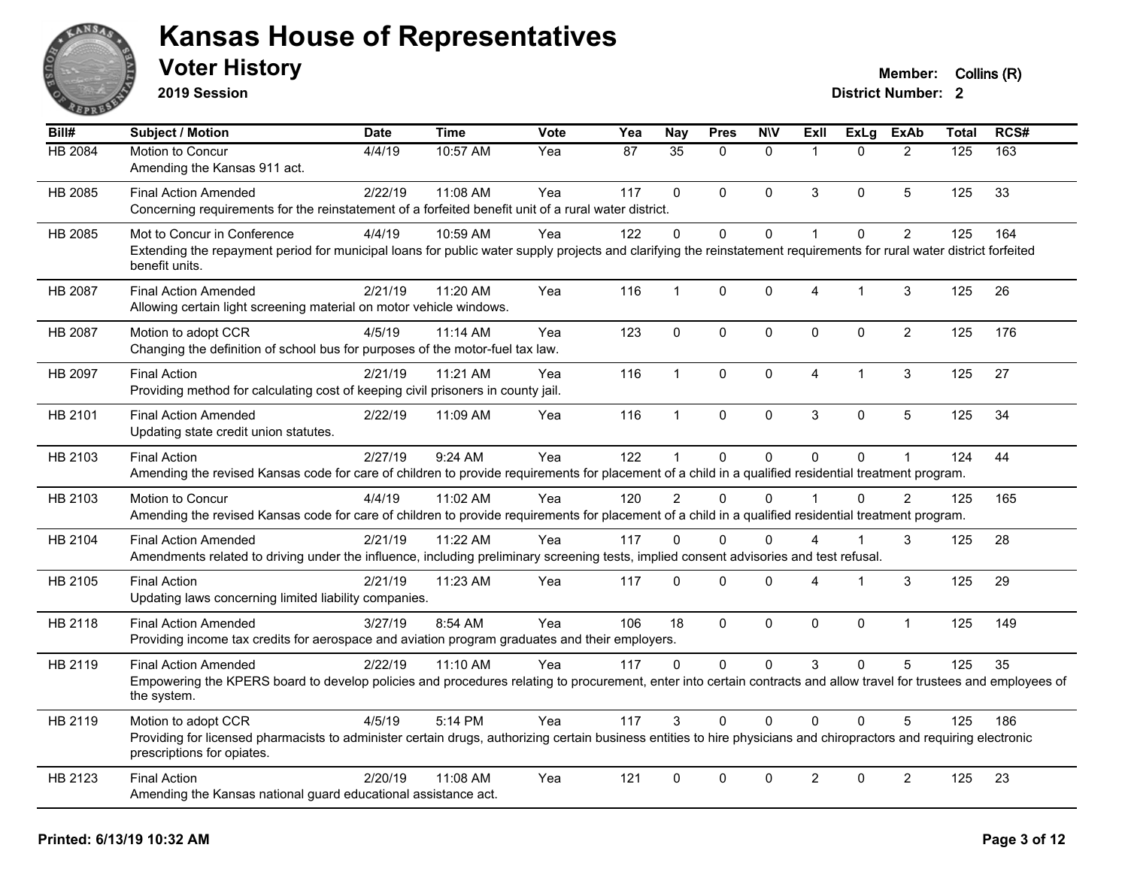

**2019 Session**

| Bill#          | <b>Subject / Motion</b>                                                                                                                                                                           | <b>Date</b> | Time       | <b>Vote</b> | Yea | <b>Nay</b>     | <b>Pres</b>  | <b>N\V</b>   | <b>ExII</b>          | <b>ExLg</b>    | <b>ExAb</b>    | <b>Total</b> | RCS# |
|----------------|---------------------------------------------------------------------------------------------------------------------------------------------------------------------------------------------------|-------------|------------|-------------|-----|----------------|--------------|--------------|----------------------|----------------|----------------|--------------|------|
| <b>HB 2084</b> | Motion to Concur                                                                                                                                                                                  | 4/4/19      | 10:57 AM   | Yea         | 87  | 35             | $\Omega$     | $\mathbf{0}$ | $\blacktriangleleft$ | $\Omega$       | 2              | 125          | 163  |
|                | Amending the Kansas 911 act.                                                                                                                                                                      |             |            |             |     |                |              |              |                      |                |                |              |      |
| HB 2085        | <b>Final Action Amended</b>                                                                                                                                                                       | 2/22/19     | 11:08 AM   | Yea         | 117 | $\Omega$       | $\mathbf{0}$ | $\mathbf{0}$ | 3                    | $\Omega$       | 5              | 125          | 33   |
|                | Concerning requirements for the reinstatement of a forfeited benefit unit of a rural water district.                                                                                              |             |            |             |     |                |              |              |                      |                |                |              |      |
| HB 2085        | Mot to Concur in Conference                                                                                                                                                                       | 4/4/19      | 10:59 AM   | Yea         | 122 | $\Omega$       | $\Omega$     | $\mathbf{0}$ |                      | $\Omega$       | $\overline{2}$ | 125          | 164  |
|                | Extending the repayment period for municipal loans for public water supply projects and clarifying the reinstatement requirements for rural water district forfeited<br>benefit units.            |             |            |             |     |                |              |              |                      |                |                |              |      |
| HB 2087        | <b>Final Action Amended</b>                                                                                                                                                                       | 2/21/19     | 11:20 AM   | Yea         | 116 | $\mathbf 1$    | $\pmb{0}$    | 0            | 4                    | $\mathbf 1$    | $\sqrt{3}$     | 125          | 26   |
|                | Allowing certain light screening material on motor vehicle windows.                                                                                                                               |             |            |             |     |                |              |              |                      |                |                |              |      |
| HB 2087        | Motion to adopt CCR                                                                                                                                                                               | 4/5/19      | 11:14 AM   | Yea         | 123 | $\mathbf 0$    | $\mathbf 0$  | $\mathbf 0$  | $\mathbf 0$          | $\mathbf 0$    | $\overline{2}$ | 125          | 176  |
|                | Changing the definition of school bus for purposes of the motor-fuel tax law.                                                                                                                     |             |            |             |     |                |              |              |                      |                |                |              |      |
| HB 2097        | <b>Final Action</b>                                                                                                                                                                               | 2/21/19     | 11:21 AM   | Yea         | 116 | $\mathbf 1$    | $\mathbf{0}$ | $\mathbf{0}$ | $\overline{4}$       | $\mathbf{1}$   | $\mathbf{3}$   | 125          | 27   |
|                | Providing method for calculating cost of keeping civil prisoners in county jail.                                                                                                                  |             |            |             |     |                |              |              |                      |                |                |              |      |
| HB 2101        | <b>Final Action Amended</b>                                                                                                                                                                       | 2/22/19     | 11:09 AM   | Yea         | 116 | 1              | $\mathbf 0$  | $\mathbf 0$  | 3                    | 0              | 5              | 125          | 34   |
|                | Updating state credit union statutes.                                                                                                                                                             |             |            |             |     |                |              |              |                      |                |                |              |      |
| HB 2103        | <b>Final Action</b>                                                                                                                                                                               | 2/27/19     | 9:24 AM    | Yea         | 122 |                | $\mathbf 0$  | $\pmb{0}$    | $\Omega$             | 0              |                | 124          | 44   |
|                | Amending the revised Kansas code for care of children to provide requirements for placement of a child in a qualified residential treatment program.                                              |             |            |             |     |                |              |              |                      |                |                |              |      |
| HB 2103        | Motion to Concur                                                                                                                                                                                  | 4/4/19      | 11:02 AM   | Yea         | 120 | $\overline{2}$ | $\Omega$     | $\Omega$     |                      | $\Omega$       | 2              | 125          | 165  |
|                | Amending the revised Kansas code for care of children to provide requirements for placement of a child in a qualified residential treatment program.                                              |             |            |             |     |                |              |              |                      |                |                |              |      |
| HB 2104        | <b>Final Action Amended</b>                                                                                                                                                                       | 2/21/19     | 11:22 AM   | Yea         | 117 | 0              | $\Omega$     | $\mathbf{0}$ | 4                    | $\mathbf{1}$   | 3              | 125          | 28   |
|                | Amendments related to driving under the influence, including preliminary screening tests, implied consent advisories and test refusal.                                                            |             |            |             |     |                |              |              |                      |                |                |              |      |
| HB 2105        | <b>Final Action</b>                                                                                                                                                                               | 2/21/19     | 11:23 AM   | Yea         | 117 | $\Omega$       | $\mathbf 0$  | $\mathbf 0$  | 4                    | $\overline{1}$ | $\mathfrak{S}$ | 125          | 29   |
|                | Updating laws concerning limited liability companies.                                                                                                                                             |             |            |             |     |                |              |              |                      |                |                |              |      |
| HB 2118        | <b>Final Action Amended</b>                                                                                                                                                                       | 3/27/19     | 8:54 AM    | Yea         | 106 | 18             | $\Omega$     | $\mathbf 0$  | $\Omega$             | $\Omega$       | $\mathbf{1}$   | 125          | 149  |
|                | Providing income tax credits for aerospace and aviation program graduates and their employers.                                                                                                    |             |            |             |     |                |              |              |                      |                |                |              |      |
| HB 2119        | <b>Final Action Amended</b>                                                                                                                                                                       | 2/22/19     | $11:10$ AM | Yea         | 117 | 0              | $\mathbf{0}$ | $\mathbf{0}$ | 3                    | $\Omega$       | 5              | 125          | 35   |
|                | Empowering the KPERS board to develop policies and procedures relating to procurement, enter into certain contracts and allow travel for trustees and employees of<br>the system.                 |             |            |             |     |                |              |              |                      |                |                |              |      |
| HB 2119        | Motion to adopt CCR                                                                                                                                                                               | 4/5/19      | 5:14 PM    | Yea         | 117 | 3              | $\mathbf 0$  | $\Omega$     | $\Omega$             | $\Omega$       | 5              | 125          | 186  |
|                | Providing for licensed pharmacists to administer certain drugs, authorizing certain business entities to hire physicians and chiropractors and requiring electronic<br>prescriptions for opiates. |             |            |             |     |                |              |              |                      |                |                |              |      |
| HB 2123        | <b>Final Action</b>                                                                                                                                                                               | 2/20/19     | 11:08 AM   | Yea         | 121 | $\mathbf 0$    | $\mathbf 0$  | $\mathbf 0$  | $\overline{2}$       | $\Omega$       | $\overline{2}$ | 125          | 23   |
|                | Amending the Kansas national guard educational assistance act.                                                                                                                                    |             |            |             |     |                |              |              |                      |                |                |              |      |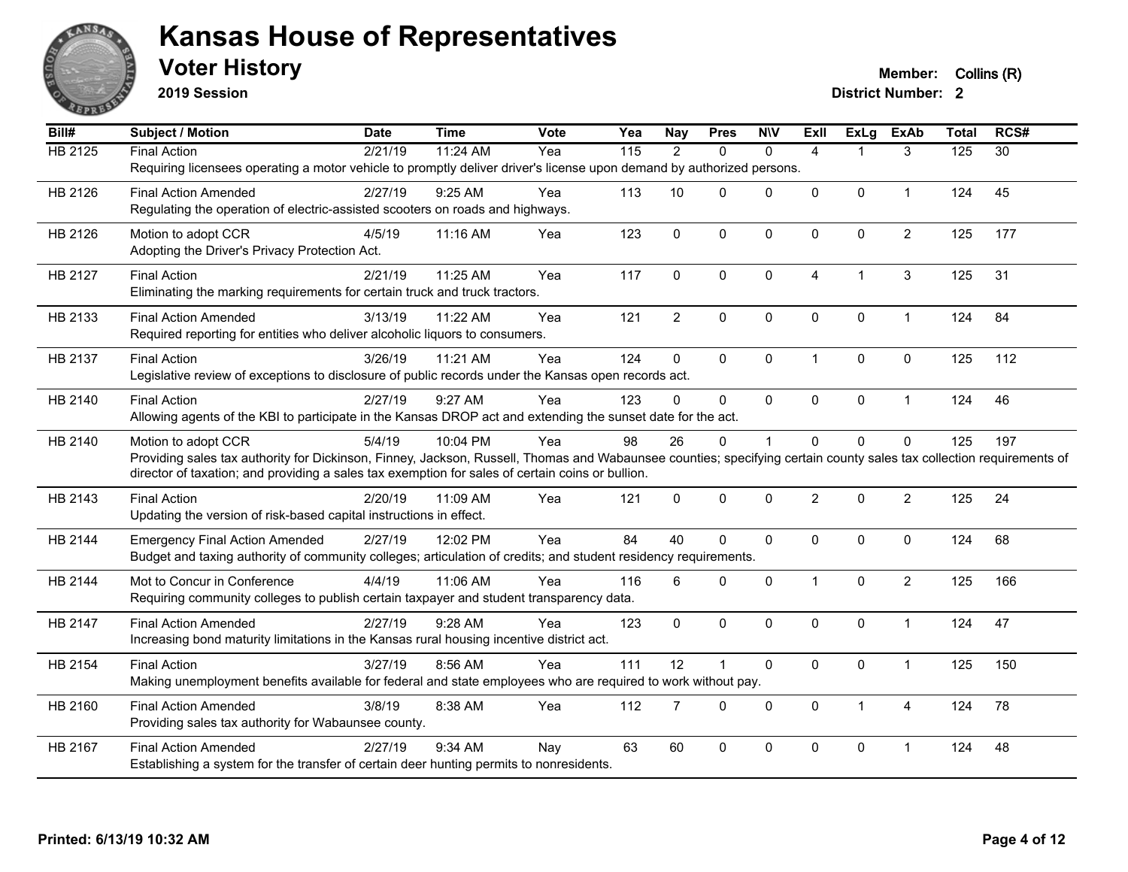

**2019 Session**

| Bill#          | <b>Subject / Motion</b>                                                                                                                                                                                                                                                  | <b>Date</b> | <b>Time</b> | <b>Vote</b> | Yea               | <b>Nay</b>     | <b>Pres</b>  | <b>NIV</b>   | <b>ExII</b>    | <b>ExLg</b>    | <b>ExAb</b>    | <b>Total</b> | RCS#            |
|----------------|--------------------------------------------------------------------------------------------------------------------------------------------------------------------------------------------------------------------------------------------------------------------------|-------------|-------------|-------------|-------------------|----------------|--------------|--------------|----------------|----------------|----------------|--------------|-----------------|
| <b>HB 2125</b> | <b>Final Action</b>                                                                                                                                                                                                                                                      | 2/21/19     | 11:24 AM    | Yea         | $\frac{115}{115}$ | $\overline{2}$ | $\mathbf{0}$ | $\mathbf{0}$ | $\overline{4}$ | $\mathbf 1$    | 3              | 125          | $\overline{30}$ |
|                | Requiring licensees operating a motor vehicle to promptly deliver driver's license upon demand by authorized persons.                                                                                                                                                    |             |             |             |                   |                |              |              |                |                |                |              |                 |
| HB 2126        | <b>Final Action Amended</b>                                                                                                                                                                                                                                              | 2/27/19     | 9:25 AM     | Yea         | 113               | 10             | $\mathbf{0}$ | $\Omega$     | 0              | $\mathbf{0}$   | 1              | 124          | 45              |
|                | Regulating the operation of electric-assisted scooters on roads and highways.                                                                                                                                                                                            |             |             |             |                   |                |              |              |                |                |                |              |                 |
| HB 2126        | Motion to adopt CCR                                                                                                                                                                                                                                                      | 4/5/19      | 11:16 AM    | Yea         | 123               | $\mathbf 0$    | $\mathbf 0$  | $\mathbf 0$  | 0              | $\mathbf 0$    | $\overline{2}$ | 125          | 177             |
|                | Adopting the Driver's Privacy Protection Act.                                                                                                                                                                                                                            |             |             |             |                   |                |              |              |                |                |                |              |                 |
| HB 2127        | <b>Final Action</b>                                                                                                                                                                                                                                                      | 2/21/19     | 11:25 AM    | Yea         | 117               | 0              | 0            | $\mathbf 0$  | 4              | $\overline{1}$ | 3              | 125          | 31              |
|                | Eliminating the marking requirements for certain truck and truck tractors.                                                                                                                                                                                               |             |             |             |                   |                |              |              |                |                |                |              |                 |
| HB 2133        | <b>Final Action Amended</b>                                                                                                                                                                                                                                              | 3/13/19     | 11:22 AM    | Yea         | 121               | $\overline{2}$ | $\mathbf 0$  | $\mathbf 0$  | 0              | $\mathbf 0$    | 1              | 124          | 84              |
|                | Required reporting for entities who deliver alcoholic liquors to consumers.                                                                                                                                                                                              |             |             |             |                   |                |              |              |                |                |                |              |                 |
| HB 2137        | <b>Final Action</b>                                                                                                                                                                                                                                                      | 3/26/19     | 11:21 AM    | Yea         | 124               | $\mathbf 0$    | $\mathbf{0}$ | $\mathbf 0$  | $\mathbf{1}$   | $\mathbf{0}$   | $\mathbf 0$    | 125          | 112             |
|                | Legislative review of exceptions to disclosure of public records under the Kansas open records act.                                                                                                                                                                      |             |             |             |                   |                |              |              |                |                |                |              |                 |
|                |                                                                                                                                                                                                                                                                          |             |             |             |                   |                |              |              |                |                |                |              |                 |
| HB 2140        | <b>Final Action</b><br>Allowing agents of the KBI to participate in the Kansas DROP act and extending the sunset date for the act.                                                                                                                                       | 2/27/19     | 9:27 AM     | Yea         | 123               | $\Omega$       | $\mathbf{0}$ | $\Omega$     | $\Omega$       | $\mathbf{0}$   | $\mathbf{1}$   | 124          | 46              |
|                |                                                                                                                                                                                                                                                                          |             |             |             |                   |                |              |              |                |                |                |              |                 |
| HB 2140        | Motion to adopt CCR                                                                                                                                                                                                                                                      | 5/4/19      | 10:04 PM    | Yea         | 98                | 26             | $\mathbf 0$  | 1            | $\Omega$       | $\mathbf 0$    | 0              | 125          | 197             |
|                | Providing sales tax authority for Dickinson, Finney, Jackson, Russell, Thomas and Wabaunsee counties; specifying certain county sales tax collection requirements of<br>director of taxation; and providing a sales tax exemption for sales of certain coins or bullion. |             |             |             |                   |                |              |              |                |                |                |              |                 |
| HB 2143        | <b>Final Action</b>                                                                                                                                                                                                                                                      | 2/20/19     | 11:09 AM    | Yea         | 121               | $\Omega$       | $\mathbf{0}$ | $\mathbf 0$  | $\overline{2}$ | $\mathbf{0}$   | $\overline{2}$ | 125          | 24              |
|                | Updating the version of risk-based capital instructions in effect.                                                                                                                                                                                                       |             |             |             |                   |                |              |              |                |                |                |              |                 |
|                |                                                                                                                                                                                                                                                                          |             |             |             |                   |                |              |              |                |                |                |              |                 |
| <b>HB 2144</b> | <b>Emergency Final Action Amended</b>                                                                                                                                                                                                                                    | 2/27/19     | 12:02 PM    | Yea         | 84                | 40             | $\mathbf 0$  | $\mathbf 0$  | 0              | $\mathbf 0$    | $\mathbf 0$    | 124          | 68              |
|                | Budget and taxing authority of community colleges; articulation of credits; and student residency requirements.                                                                                                                                                          |             |             |             |                   |                |              |              |                |                |                |              |                 |
| HB 2144        | Mot to Concur in Conference                                                                                                                                                                                                                                              | 4/4/19      | 11:06 AM    | Yea         | 116               | 6              | 0            | $\Omega$     | $\mathbf{1}$   | $\mathbf{0}$   | $\overline{2}$ | 125          | 166             |
|                | Requiring community colleges to publish certain taxpayer and student transparency data.                                                                                                                                                                                  |             |             |             |                   |                |              |              |                |                |                |              |                 |
| HB 2147        | <b>Final Action Amended</b>                                                                                                                                                                                                                                              | 2/27/19     | $9:28$ AM   | Yea         | 123               | $\Omega$       | $\mathbf 0$  | $\mathbf 0$  | $\mathbf 0$    | $\mathbf{0}$   | $\mathbf{1}$   | 124          | 47              |
|                | Increasing bond maturity limitations in the Kansas rural housing incentive district act.                                                                                                                                                                                 |             |             |             |                   |                |              |              |                |                |                |              |                 |
| HB 2154        | <b>Final Action</b>                                                                                                                                                                                                                                                      | 3/27/19     | 8:56 AM     | Yea         | 111               | 12             | 1            | $\mathbf 0$  | $\mathbf 0$    | $\mathbf 0$    | $\mathbf{1}$   | 125          | 150             |
|                | Making unemployment benefits available for federal and state employees who are required to work without pay.                                                                                                                                                             |             |             |             |                   |                |              |              |                |                |                |              |                 |
| HB 2160        | <b>Final Action Amended</b>                                                                                                                                                                                                                                              | 3/8/19      | 8:38 AM     | Yea         | 112               | $\overline{7}$ | $\mathbf{0}$ | $\Omega$     | $\mathbf{0}$   | $\mathbf{1}$   | 4              | 124          | 78              |
|                | Providing sales tax authority for Wabaunsee county.                                                                                                                                                                                                                      |             |             |             |                   |                |              |              |                |                |                |              |                 |
| HB 2167        | <b>Final Action Amended</b>                                                                                                                                                                                                                                              | 2/27/19     | 9:34 AM     | Nay         | 63                | 60             | $\pmb{0}$    | 0            | 0              | $\pmb{0}$      | 1              | 124          | 48              |
|                | Establishing a system for the transfer of certain deer hunting permits to nonresidents.                                                                                                                                                                                  |             |             |             |                   |                |              |              |                |                |                |              |                 |
|                |                                                                                                                                                                                                                                                                          |             |             |             |                   |                |              |              |                |                |                |              |                 |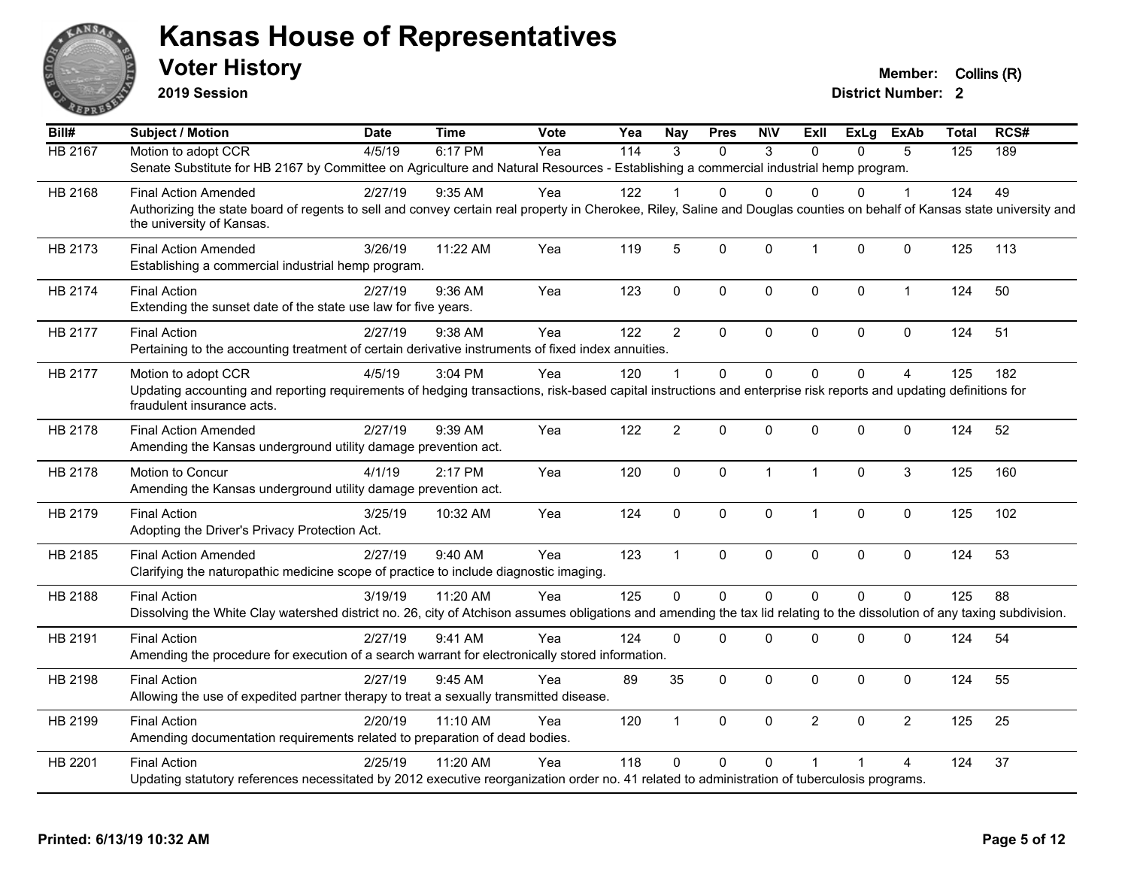

**2019 Session**

**Voter History Member:** Collins (R)

| Bill#          | <b>Subject / Motion</b>                                                                                                                                                                               | <b>Date</b> | <b>Time</b> | Vote | Yea | <b>Nay</b>     | <b>Pres</b>    | <b>NIV</b>   | ExII           | <b>ExLg</b> | <b>ExAb</b>    | <b>Total</b>   | RCS# |
|----------------|-------------------------------------------------------------------------------------------------------------------------------------------------------------------------------------------------------|-------------|-------------|------|-----|----------------|----------------|--------------|----------------|-------------|----------------|----------------|------|
| <b>HB 2167</b> | Motion to adopt CCR                                                                                                                                                                                   | 4/5/19      | 6:17 PM     | Yea  | 114 | 3              | $\Omega$       | 3            | $\Omega$       | $\Omega$    | 5              | $\frac{1}{25}$ | 189  |
|                | Senate Substitute for HB 2167 by Committee on Agriculture and Natural Resources - Establishing a commercial industrial hemp program.                                                                  |             |             |      |     |                |                |              |                |             |                |                |      |
| HB 2168        | <b>Final Action Amended</b>                                                                                                                                                                           | 2/27/19     | $9:35$ AM   | Yea  | 122 |                | 0              | $\Omega$     | $\Omega$       | 0           | 1              | 124            | 49   |
|                | Authorizing the state board of regents to sell and convey certain real property in Cherokee, Riley, Saline and Douglas counties on behalf of Kansas state university and<br>the university of Kansas. |             |             |      |     |                |                |              |                |             |                |                |      |
|                |                                                                                                                                                                                                       |             |             |      |     |                |                |              |                |             |                |                |      |
| HB 2173        | <b>Final Action Amended</b><br>Establishing a commercial industrial hemp program.                                                                                                                     | 3/26/19     | 11:22 AM    | Yea  | 119 | 5              | 0              | $\mathbf 0$  | $\mathbf{1}$   | 0           | $\mathbf 0$    | 125            | 113  |
| HB 2174        | <b>Final Action</b>                                                                                                                                                                                   | 2/27/19     | 9:36 AM     | Yea  | 123 | $\mathbf{0}$   | 0              | $\mathbf{0}$ | $\mathbf 0$    | 0           | $\mathbf{1}$   | 124            | 50   |
|                | Extending the sunset date of the state use law for five years.                                                                                                                                        |             |             |      |     |                |                |              |                |             |                |                |      |
| HB 2177        | <b>Final Action</b>                                                                                                                                                                                   | 2/27/19     | 9:38 AM     | Yea  | 122 | $\overline{2}$ | $\Omega$       | $\mathbf 0$  | $\mathbf{0}$   | 0           | $\mathbf 0$    | 124            | 51   |
|                | Pertaining to the accounting treatment of certain derivative instruments of fixed index annuities.                                                                                                    |             |             |      |     |                |                |              |                |             |                |                |      |
| HB 2177        | Motion to adopt CCR                                                                                                                                                                                   | 4/5/19      | 3:04 PM     | Yea  | 120 | -1             | $\Omega$       | $\Omega$     | $\Omega$       | $\Omega$    | $\overline{4}$ | 125            | 182  |
|                | Updating accounting and reporting requirements of hedging transactions, risk-based capital instructions and enterprise risk reports and updating definitions for<br>fraudulent insurance acts.        |             |             |      |     |                |                |              |                |             |                |                |      |
| HB 2178        | <b>Final Action Amended</b>                                                                                                                                                                           | 2/27/19     | 9:39 AM     | Yea  | 122 | 2              | 0              | $\Omega$     | $\mathbf 0$    | 0           | $\mathbf 0$    | 124            | 52   |
|                | Amending the Kansas underground utility damage prevention act.                                                                                                                                        |             |             |      |     |                |                |              |                |             |                |                |      |
| HB 2178        | Motion to Concur                                                                                                                                                                                      | 4/1/19      | 2:17 PM     | Yea  | 120 | $\mathbf 0$    | 0              | $\mathbf{1}$ | $\overline{1}$ | $\Omega$    | 3              | 125            | 160  |
|                | Amending the Kansas underground utility damage prevention act.                                                                                                                                        |             |             |      |     |                |                |              |                |             |                |                |      |
| HB 2179        | <b>Final Action</b>                                                                                                                                                                                   | 3/25/19     | 10:32 AM    | Yea  | 124 | 0              | 0              | $\mathbf 0$  | $\mathbf{1}$   | 0           | 0              | 125            | 102  |
|                | Adopting the Driver's Privacy Protection Act.                                                                                                                                                         |             |             |      |     |                |                |              |                |             |                |                |      |
| HB 2185        | <b>Final Action Amended</b>                                                                                                                                                                           | 2/27/19     | 9:40 AM     | Yea  | 123 | $\overline{1}$ | 0              | $\mathbf 0$  | $\mathbf 0$    | 0           | $\mathbf 0$    | 124            | 53   |
|                | Clarifying the naturopathic medicine scope of practice to include diagnostic imaging.                                                                                                                 |             |             |      |     |                |                |              |                |             |                |                |      |
| HB 2188        | <b>Final Action</b>                                                                                                                                                                                   | 3/19/19     | 11:20 AM    | Yea  | 125 | $\Omega$       | $\overline{0}$ | $\Omega$     | $\Omega$       | $\Omega$    | $\mathbf 0$    | 125            | 88   |
|                | Dissolving the White Clay watershed district no. 26, city of Atchison assumes obligations and amending the tax lid relating to the dissolution of any taxing subdivision.                             |             |             |      |     |                |                |              |                |             |                |                |      |
| HB 2191        | <b>Final Action</b>                                                                                                                                                                                   | 2/27/19     | 9:41 AM     | Yea  | 124 | $\mathbf 0$    | $\Omega$       | 0            | $\mathbf 0$    | 0           | $\pmb{0}$      | 124            | 54   |
|                | Amending the procedure for execution of a search warrant for electronically stored information.                                                                                                       |             |             |      |     |                |                |              |                |             |                |                |      |
| HB 2198        | <b>Final Action</b>                                                                                                                                                                                   | 2/27/19     | 9:45 AM     | Yea  | 89  | 35             | 0              | $\mathbf 0$  | $\mathbf 0$    | $\Omega$    | $\mathbf 0$    | 124            | 55   |
|                | Allowing the use of expedited partner therapy to treat a sexually transmitted disease.                                                                                                                |             |             |      |     |                |                |              |                |             |                |                |      |
| HB 2199        | <b>Final Action</b>                                                                                                                                                                                   | 2/20/19     | 11:10 AM    | Yea  | 120 | $\overline{1}$ | 0              | $\mathbf 0$  | $\overline{2}$ | $\Omega$    | $\overline{2}$ | 125            | 25   |
|                | Amending documentation requirements related to preparation of dead bodies.                                                                                                                            |             |             |      |     |                |                |              |                |             |                |                |      |
| HB 2201        | <b>Final Action</b>                                                                                                                                                                                   | 2/25/19     | 11:20 AM    | Yea  | 118 | $\Omega$       | 0              | $\mathbf 0$  |                |             | 4              | 124            | 37   |
|                | Updating statutory references necessitated by 2012 executive reorganization order no. 41 related to administration of tuberculosis programs.                                                          |             |             |      |     |                |                |              |                |             |                |                |      |
|                |                                                                                                                                                                                                       |             |             |      |     |                |                |              |                |             |                |                |      |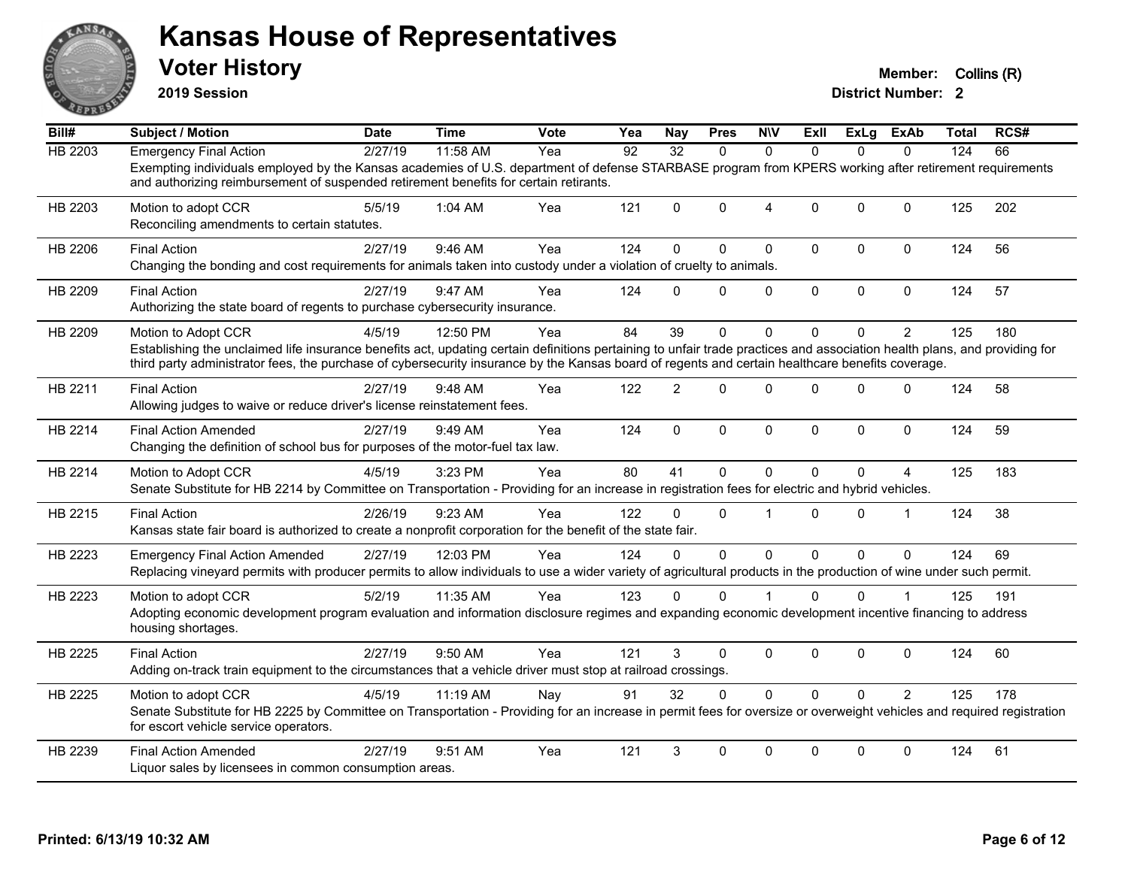

**2019 Session**

| Bill#   | <b>Subject / Motion</b>                                                                                                                                                                                                                                                                                                                              | <b>Date</b> | <b>Time</b> | Vote | Yea | Nay            | <b>Pres</b> | <b>NIV</b>   | Exll         | ExLg         | ExAb           | Total | RCS# |
|---------|------------------------------------------------------------------------------------------------------------------------------------------------------------------------------------------------------------------------------------------------------------------------------------------------------------------------------------------------------|-------------|-------------|------|-----|----------------|-------------|--------------|--------------|--------------|----------------|-------|------|
| HB 2203 | <b>Emergency Final Action</b>                                                                                                                                                                                                                                                                                                                        | 2/27/19     | 11:58 AM    | Yea  | 92  | 32             | $\Omega$    | $\Omega$     | $\Omega$     | $\Omega$     | $\Omega$       | 124   | 66   |
|         | Exempting individuals employed by the Kansas academies of U.S. department of defense STARBASE program from KPERS working after retirement requirements<br>and authorizing reimbursement of suspended retirement benefits for certain retirants.                                                                                                      |             |             |      |     |                |             |              |              |              |                |       |      |
| HB 2203 | Motion to adopt CCR<br>Reconciling amendments to certain statutes.                                                                                                                                                                                                                                                                                   | 5/5/19      | 1:04 AM     | Yea  | 121 | $\Omega$       | $\Omega$    | 4            | $\Omega$     | $\Omega$     | $\mathbf{0}$   | 125   | 202  |
| HB 2206 | <b>Final Action</b><br>Changing the bonding and cost requirements for animals taken into custody under a violation of cruelty to animals.                                                                                                                                                                                                            | 2/27/19     | 9:46 AM     | Yea  | 124 | $\mathbf{0}$   | $\Omega$    | $\mathbf 0$  | $\Omega$     | $\Omega$     | $\mathbf 0$    | 124   | 56   |
| HB 2209 | <b>Final Action</b><br>Authorizing the state board of regents to purchase cybersecurity insurance.                                                                                                                                                                                                                                                   | 2/27/19     | 9:47 AM     | Yea  | 124 | $\Omega$       | 0           | $\mathbf 0$  | $\mathbf 0$  | $\mathbf 0$  | $\mathbf 0$    | 124   | 57   |
| HB 2209 | Motion to Adopt CCR<br>Establishing the unclaimed life insurance benefits act, updating certain definitions pertaining to unfair trade practices and association health plans, and providing for<br>third party administrator fees, the purchase of cybersecurity insurance by the Kansas board of regents and certain healthcare benefits coverage. | 4/5/19      | 12:50 PM    | Yea  | 84  | 39             | $\Omega$    | $\Omega$     | $\Omega$     | $\Omega$     | $\overline{2}$ | 125   | 180  |
| HB 2211 | <b>Final Action</b><br>Allowing judges to waive or reduce driver's license reinstatement fees.                                                                                                                                                                                                                                                       | 2/27/19     | 9:48 AM     | Yea  | 122 | $\overline{2}$ | $\Omega$    | $\Omega$     | $\Omega$     | $\Omega$     | $\mathbf 0$    | 124   | 58   |
| HB 2214 | <b>Final Action Amended</b><br>Changing the definition of school bus for purposes of the motor-fuel tax law.                                                                                                                                                                                                                                         | 2/27/19     | 9:49 AM     | Yea  | 124 | $\mathbf 0$    | 0           | $\mathbf 0$  | $\mathbf{0}$ | $\mathbf{0}$ | $\mathbf 0$    | 124   | 59   |
| HB 2214 | Motion to Adopt CCR<br>Senate Substitute for HB 2214 by Committee on Transportation - Providing for an increase in registration fees for electric and hybrid vehicles.                                                                                                                                                                               | 4/5/19      | 3:23 PM     | Yea  | 80  | 41             | $\Omega$    | $\Omega$     | $\Omega$     | $\Omega$     | 4              | 125   | 183  |
| HB 2215 | <b>Final Action</b><br>Kansas state fair board is authorized to create a nonprofit corporation for the benefit of the state fair.                                                                                                                                                                                                                    | 2/26/19     | 9:23 AM     | Yea  | 122 | $\Omega$       | $\Omega$    | 1            | $\Omega$     | $\Omega$     | $\mathbf 1$    | 124   | 38   |
| HB 2223 | <b>Emergency Final Action Amended</b><br>Replacing vineyard permits with producer permits to allow individuals to use a wider variety of agricultural products in the production of wine under such permit.                                                                                                                                          | 2/27/19     | 12:03 PM    | Yea  | 124 | $\Omega$       | $\Omega$    | $\mathbf{0}$ | $\Omega$     | $\Omega$     | $\mathbf{0}$   | 124   | 69   |
| HB 2223 | Motion to adopt CCR<br>Adopting economic development program evaluation and information disclosure regimes and expanding economic development incentive financing to address<br>housing shortages.                                                                                                                                                   | 5/2/19      | 11:35 AM    | Yea  | 123 | $\Omega$       | $\Omega$    |              | $\Omega$     | $\Omega$     |                | 125   | 191  |
| HB 2225 | <b>Final Action</b><br>Adding on-track train equipment to the circumstances that a vehicle driver must stop at railroad crossings.                                                                                                                                                                                                                   | 2/27/19     | 9:50 AM     | Yea  | 121 | 3              | $\Omega$    | $\mathbf 0$  | $\Omega$     | $\Omega$     | $\mathbf 0$    | 124   | 60   |
| HB 2225 | Motion to adopt CCR<br>Senate Substitute for HB 2225 by Committee on Transportation - Providing for an increase in permit fees for oversize or overweight vehicles and required registration<br>for escort vehicle service operators.                                                                                                                | 4/5/19      | 11:19 AM    | Nay  | 91  | 32             | $\Omega$    | $\Omega$     | $\Omega$     | $\Omega$     | $\overline{2}$ | 125   | 178  |
| HB 2239 | <b>Final Action Amended</b><br>Liquor sales by licensees in common consumption areas.                                                                                                                                                                                                                                                                | 2/27/19     | 9:51 AM     | Yea  | 121 | 3              | $\Omega$    | $\Omega$     | $\Omega$     | $\Omega$     | $\mathbf{0}$   | 124   | 61   |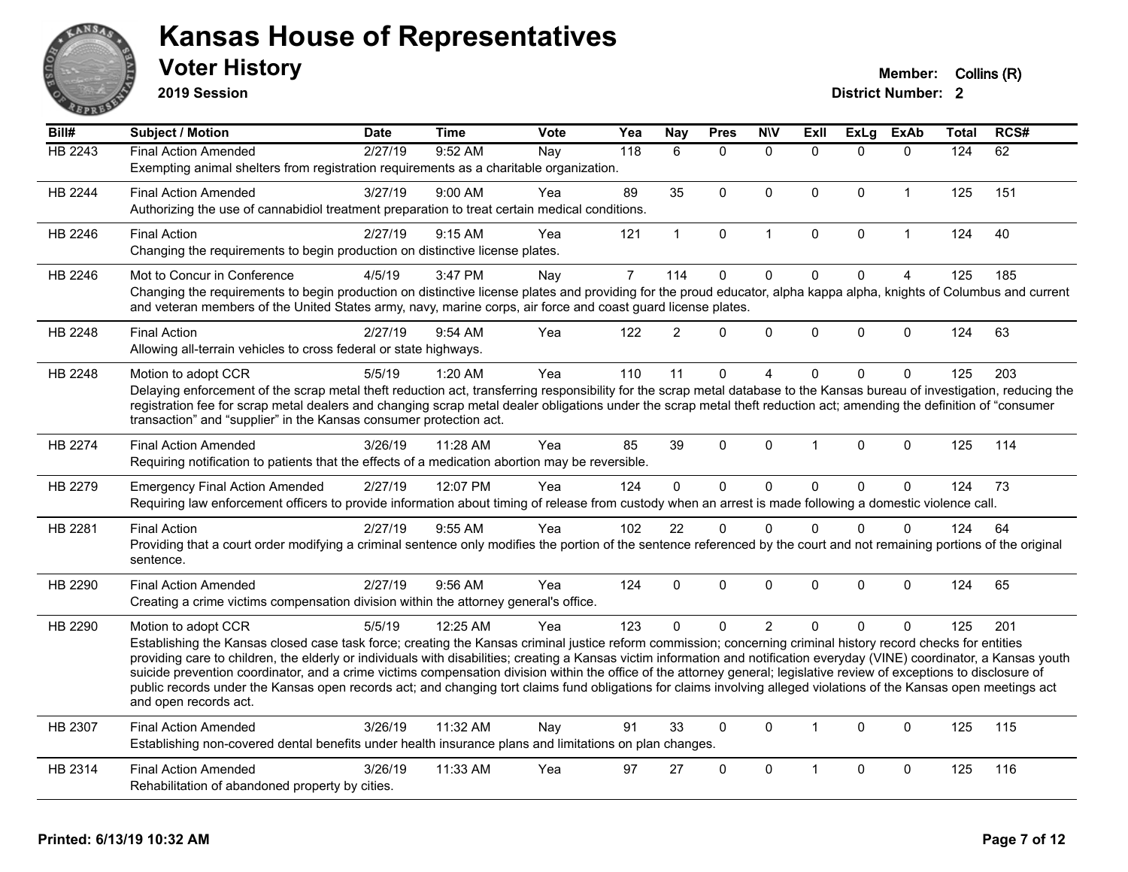

**2019 Session**

| Bill#          | Subject / Motion                                                                                                                                                                                                                                                                                                                              | <b>Date</b> | <b>Time</b> | <b>Vote</b> | Yea            | Nay            | <b>Pres</b> | <b>NIV</b>     | <b>ExII</b>          | <b>ExLg</b>  | <b>ExAb</b>    | Total | RCS# |
|----------------|-----------------------------------------------------------------------------------------------------------------------------------------------------------------------------------------------------------------------------------------------------------------------------------------------------------------------------------------------|-------------|-------------|-------------|----------------|----------------|-------------|----------------|----------------------|--------------|----------------|-------|------|
| HB 2243        | <b>Final Action Amended</b>                                                                                                                                                                                                                                                                                                                   | 2/27/19     | 9:52 AM     | Nay         | 118            | 6              | $\Omega$    | $\mathbf{0}$   | $\Omega$             | $\Omega$     | $\Omega$       | 124   | 62   |
|                | Exempting animal shelters from registration requirements as a charitable organization.                                                                                                                                                                                                                                                        |             |             |             |                |                |             |                |                      |              |                |       |      |
| HB 2244        | <b>Final Action Amended</b>                                                                                                                                                                                                                                                                                                                   | 3/27/19     | 9:00 AM     | Yea         | 89             | 35             | $\Omega$    | $\mathbf 0$    | $\Omega$             | $\mathbf{0}$ | $\mathbf{1}$   | 125   | 151  |
|                | Authorizing the use of cannabidiol treatment preparation to treat certain medical conditions.                                                                                                                                                                                                                                                 |             |             |             |                |                |             |                |                      |              |                |       |      |
| HB 2246        | <b>Final Action</b>                                                                                                                                                                                                                                                                                                                           | 2/27/19     | 9:15 AM     | Yea         | 121            | $\mathbf{1}$   | 0           | $\mathbf{1}$   | 0                    | $\mathbf 0$  | $\mathbf{1}$   | 124   | 40   |
|                | Changing the requirements to begin production on distinctive license plates.                                                                                                                                                                                                                                                                  |             |             |             |                |                |             |                |                      |              |                |       |      |
| HB 2246        | Mot to Concur in Conference                                                                                                                                                                                                                                                                                                                   | 4/5/19      | 3:47 PM     | Nay         | $\overline{7}$ | 114            | $\mathbf 0$ | $\mathbf 0$    | $\mathbf 0$          | $\mathbf 0$  | $\overline{4}$ | 125   | 185  |
|                | Changing the requirements to begin production on distinctive license plates and providing for the proud educator, alpha kappa alpha, knights of Columbus and current                                                                                                                                                                          |             |             |             |                |                |             |                |                      |              |                |       |      |
|                | and veteran members of the United States army, navy, marine corps, air force and coast guard license plates.                                                                                                                                                                                                                                  |             |             |             |                |                |             |                |                      |              |                |       |      |
| HB 2248        | <b>Final Action</b>                                                                                                                                                                                                                                                                                                                           | 2/27/19     | $9:54$ AM   | Yea         | 122            | $\overline{2}$ | $\Omega$    | $\mathbf 0$    | $\mathbf 0$          | $\Omega$     | $\mathbf 0$    | 124   | 63   |
|                | Allowing all-terrain vehicles to cross federal or state highways.                                                                                                                                                                                                                                                                             |             |             |             |                |                |             |                |                      |              |                |       |      |
| HB 2248        | Motion to adopt CCR                                                                                                                                                                                                                                                                                                                           | 5/5/19      | 1:20 AM     | Yea         | 110            | 11             | $\Omega$    | 4              | $\Omega$             | $\Omega$     | 0              | 125   | 203  |
|                | Delaying enforcement of the scrap metal theft reduction act, transferring responsibility for the scrap metal database to the Kansas bureau of investigation, reducing the                                                                                                                                                                     |             |             |             |                |                |             |                |                      |              |                |       |      |
|                | registration fee for scrap metal dealers and changing scrap metal dealer obligations under the scrap metal theft reduction act; amending the definition of "consumer<br>transaction" and "supplier" in the Kansas consumer protection act.                                                                                                    |             |             |             |                |                |             |                |                      |              |                |       |      |
|                |                                                                                                                                                                                                                                                                                                                                               |             |             |             |                |                |             |                |                      |              |                |       |      |
| <b>HB 2274</b> | <b>Final Action Amended</b>                                                                                                                                                                                                                                                                                                                   | 3/26/19     | 11:28 AM    | Yea         | 85             | 39             | $\Omega$    | $\Omega$       | $\blacktriangleleft$ | $\mathbf{0}$ | $\mathbf 0$    | 125   | 114  |
|                | Requiring notification to patients that the effects of a medication abortion may be reversible.                                                                                                                                                                                                                                               |             |             |             |                |                |             |                |                      |              |                |       |      |
| HB 2279        | <b>Emergency Final Action Amended</b>                                                                                                                                                                                                                                                                                                         | 2/27/19     | 12:07 PM    | Yea         | 124            | $\mathbf 0$    | $\Omega$    | $\mathbf 0$    | $\Omega$             | $\mathbf{0}$ | $\Omega$       | 124   | 73   |
|                | Requiring law enforcement officers to provide information about timing of release from custody when an arrest is made following a domestic violence call.                                                                                                                                                                                     |             |             |             |                |                |             |                |                      |              |                |       |      |
| HB 2281        | <b>Final Action</b>                                                                                                                                                                                                                                                                                                                           | 2/27/19     | 9:55 AM     | Yea         | 102            | 22             | 0           | $\mathbf 0$    | $\Omega$             | $\Omega$     | $\Omega$       | 124   | 64   |
|                | Providing that a court order modifying a criminal sentence only modifies the portion of the sentence referenced by the court and not remaining portions of the original                                                                                                                                                                       |             |             |             |                |                |             |                |                      |              |                |       |      |
|                | sentence.                                                                                                                                                                                                                                                                                                                                     |             |             |             |                |                |             |                |                      |              |                |       |      |
| HB 2290        | <b>Final Action Amended</b>                                                                                                                                                                                                                                                                                                                   | 2/27/19     | 9:56 AM     | Yea         | 124            | $\mathbf 0$    | $\Omega$    | $\Omega$       | $\Omega$             | $\mathbf{0}$ | $\mathbf{0}$   | 124   | 65   |
|                | Creating a crime victims compensation division within the attorney general's office.                                                                                                                                                                                                                                                          |             |             |             |                |                |             |                |                      |              |                |       |      |
| HB 2290        | Motion to adopt CCR                                                                                                                                                                                                                                                                                                                           | 5/5/19      | 12:25 AM    | Yea         | 123            | $\Omega$       | $\Omega$    | $\overline{2}$ | $\Omega$             | $\Omega$     | 0              | 125   | 201  |
|                | Establishing the Kansas closed case task force; creating the Kansas criminal justice reform commission; concerning criminal history record checks for entities                                                                                                                                                                                |             |             |             |                |                |             |                |                      |              |                |       |      |
|                | providing care to children, the elderly or individuals with disabilities; creating a Kansas victim information and notification everyday (VINE) coordinator, a Kansas youth                                                                                                                                                                   |             |             |             |                |                |             |                |                      |              |                |       |      |
|                | suicide prevention coordinator, and a crime victims compensation division within the office of the attorney general; legislative review of exceptions to disclosure of<br>public records under the Kansas open records act; and changing tort claims fund obligations for claims involving alleged violations of the Kansas open meetings act |             |             |             |                |                |             |                |                      |              |                |       |      |
|                | and open records act.                                                                                                                                                                                                                                                                                                                         |             |             |             |                |                |             |                |                      |              |                |       |      |
| HB 2307        | <b>Final Action Amended</b>                                                                                                                                                                                                                                                                                                                   | 3/26/19     | 11:32 AM    | Nay         | 91             | 33             | $\Omega$    | $\Omega$       | $\mathbf{1}$         | $\mathbf{0}$ | $\Omega$       | 125   | 115  |
|                | Establishing non-covered dental benefits under health insurance plans and limitations on plan changes.                                                                                                                                                                                                                                        |             |             |             |                |                |             |                |                      |              |                |       |      |
| HB 2314        | <b>Final Action Amended</b>                                                                                                                                                                                                                                                                                                                   | 3/26/19     | 11:33 AM    | Yea         | 97             | 27             | $\Omega$    | $\Omega$       | $\mathbf{1}$         | $\mathbf{0}$ | $\mathbf{0}$   | 125   | 116  |
|                | Rehabilitation of abandoned property by cities.                                                                                                                                                                                                                                                                                               |             |             |             |                |                |             |                |                      |              |                |       |      |
|                |                                                                                                                                                                                                                                                                                                                                               |             |             |             |                |                |             |                |                      |              |                |       |      |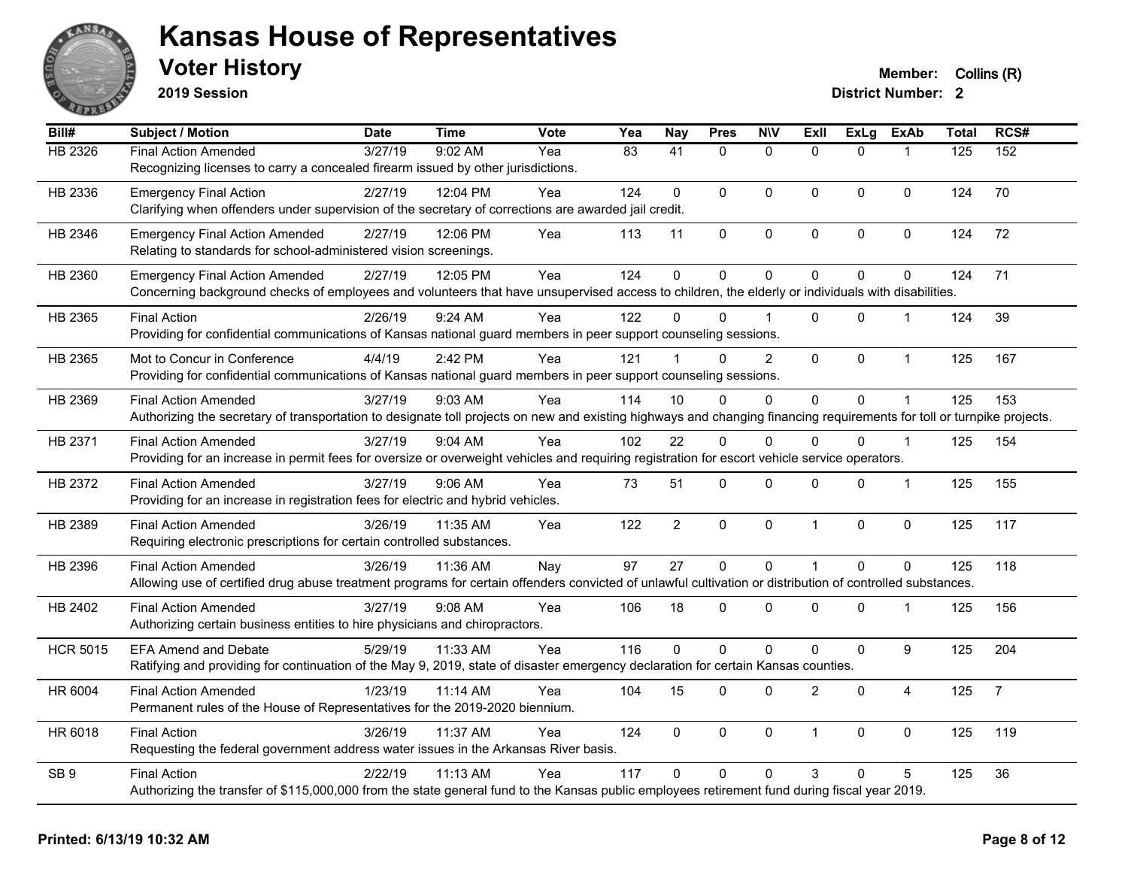

**2019 Session**

| Bill#           | Subject / Motion                                                                                                                                                       | <b>Date</b> | <b>Time</b> | <b>Vote</b> | Yea             | <b>Nay</b>      | <b>Pres</b>  | <b>N\V</b>     | ExIl           | <b>ExLg</b>  | <b>ExAb</b>    | <b>Total</b> | RCS#           |
|-----------------|------------------------------------------------------------------------------------------------------------------------------------------------------------------------|-------------|-------------|-------------|-----------------|-----------------|--------------|----------------|----------------|--------------|----------------|--------------|----------------|
| <b>HB 2326</b>  | <b>Final Action Amended</b>                                                                                                                                            | 3/27/19     | 9:02 AM     | Yea         | $\overline{83}$ | $\overline{41}$ | $\mathbf{0}$ | $\mathbf{0}$   | $\Omega$       | $\Omega$     | 1              | 125          | 152            |
|                 | Recognizing licenses to carry a concealed firearm issued by other jurisdictions.                                                                                       |             |             |             |                 |                 |              |                |                |              |                |              |                |
| HB 2336         | <b>Emergency Final Action</b>                                                                                                                                          | 2/27/19     | 12:04 PM    | Yea         | 124             | $\Omega$        | $\mathbf{0}$ | $\mathbf{0}$   | $\Omega$       | $\mathbf{0}$ | $\mathbf{0}$   | 124          | 70             |
|                 | Clarifying when offenders under supervision of the secretary of corrections are awarded jail credit.                                                                   |             |             |             |                 |                 |              |                |                |              |                |              |                |
| HB 2346         | <b>Emergency Final Action Amended</b>                                                                                                                                  | 2/27/19     | 12:06 PM    | Yea         | 113             | 11              | $\mathbf 0$  | $\pmb{0}$      | $\pmb{0}$      | 0            | 0              | 124          | 72             |
|                 | Relating to standards for school-administered vision screenings.                                                                                                       |             |             |             |                 |                 |              |                |                |              |                |              |                |
| HB 2360         | <b>Emergency Final Action Amended</b>                                                                                                                                  | 2/27/19     | 12:05 PM    | Yea         | 124             | $\overline{0}$  | $\pmb{0}$    | $\mathbf 0$    | $\Omega$       | $\pmb{0}$    | $\mathbf 0$    | 124          | 71             |
|                 | Concerning background checks of employees and volunteers that have unsupervised access to children, the elderly or individuals with disabilities.                      |             |             |             |                 |                 |              |                |                |              |                |              |                |
| HB 2365         | <b>Final Action</b>                                                                                                                                                    | 2/26/19     | 9:24 AM     | Yea         | 122             | 0               | $\Omega$     |                | 0              | $\Omega$     | 1              | 124          | 39             |
|                 | Providing for confidential communications of Kansas national guard members in peer support counseling sessions.                                                        |             |             |             |                 |                 |              |                |                |              |                |              |                |
| HB 2365         | Mot to Concur in Conference                                                                                                                                            | 4/4/19      | 2:42 PM     | Yea         | 121             | $\mathbf 1$     | $\Omega$     | $\overline{c}$ | $\mathbf{0}$   | $\mathbf 0$  | $\mathbf{1}$   | 125          | 167            |
|                 | Providing for confidential communications of Kansas national guard members in peer support counseling sessions.                                                        |             |             |             |                 |                 |              |                |                |              |                |              |                |
| HB 2369         | <b>Final Action Amended</b>                                                                                                                                            | 3/27/19     | 9:03 AM     | Yea         | 114             | 10              | $\mathbf{0}$ | 0              | $\Omega$       | $\mathbf 0$  | 1              | 125          | 153            |
|                 | Authorizing the secretary of transportation to designate toll projects on new and existing highways and changing financing requirements for toll or turnpike projects. |             |             |             |                 |                 |              |                |                |              |                |              |                |
| HB 2371         | <b>Final Action Amended</b>                                                                                                                                            | 3/27/19     | 9:04 AM     | Yea         | 102             | 22              | $\mathbf{0}$ | $\Omega$       | $\Omega$       | $\Omega$     | $\mathbf{1}$   | 125          | 154            |
|                 | Providing for an increase in permit fees for oversize or overweight vehicles and requiring registration for escort vehicle service operators.                          |             |             |             |                 |                 |              |                |                |              |                |              |                |
| HB 2372         | <b>Final Action Amended</b>                                                                                                                                            | 3/27/19     | $9:06$ AM   | Yea         | 73              | 51              | $\mathbf 0$  | 0              | $\Omega$       | $\mathbf 0$  | $\mathbf{1}$   | 125          | 155            |
|                 | Providing for an increase in registration fees for electric and hybrid vehicles.                                                                                       |             |             |             |                 |                 |              |                |                |              |                |              |                |
| HB 2389         | Final Action Amended                                                                                                                                                   | 3/26/19     | 11:35 AM    | Yea         | 122             | $\overline{2}$  | $\pmb{0}$    | $\pmb{0}$      | $\overline{1}$ | $\pmb{0}$    | $\mathbf 0$    | 125          | 117            |
|                 | Requiring electronic prescriptions for certain controlled substances.                                                                                                  |             |             |             |                 |                 |              |                |                |              |                |              |                |
| HB 2396         | <b>Final Action Amended</b>                                                                                                                                            | 3/26/19     | 11:36 AM    | Nay         | 97              | 27              | $\mathbf 0$  | $\mathbf 0$    | 1              | $\mathbf 0$  | $\mathbf 0$    | 125          | 118            |
|                 | Allowing use of certified drug abuse treatment programs for certain offenders convicted of unlawful cultivation or distribution of controlled substances.              |             |             |             |                 |                 |              |                |                |              |                |              |                |
| HB 2402         | <b>Final Action Amended</b>                                                                                                                                            | 3/27/19     | $9:08$ AM   | Yea         | 106             | 18              | $\mathbf{0}$ | $\Omega$       | $\Omega$       | $\Omega$     | $\mathbf 1$    | 125          | 156            |
|                 | Authorizing certain business entities to hire physicians and chiropractors.                                                                                            |             |             |             |                 |                 |              |                |                |              |                |              |                |
| <b>HCR 5015</b> | <b>EFA Amend and Debate</b>                                                                                                                                            | 5/29/19     | 11:33 AM    | Yea         | 116             | $\Omega$        | $\mathbf{0}$ | 0              | $\Omega$       | $\mathbf 0$  | 9              | 125          | 204            |
|                 | Ratifying and providing for continuation of the May 9, 2019, state of disaster emergency declaration for certain Kansas counties.                                      |             |             |             |                 |                 |              |                |                |              |                |              |                |
| HR 6004         | <b>Final Action Amended</b>                                                                                                                                            | 1/23/19     | 11:14 AM    | Yea         | 104             | 15              | $\mathbf{0}$ | $\Omega$       | $\overline{2}$ | $\Omega$     | $\overline{4}$ | 125          | $\overline{7}$ |
|                 | Permanent rules of the House of Representatives for the 2019-2020 biennium.                                                                                            |             |             |             |                 |                 |              |                |                |              |                |              |                |
| HR 6018         | <b>Final Action</b>                                                                                                                                                    | 3/26/19     | 11:37 AM    | Yea         | 124             | 0               | $\mathbf 0$  | $\mathbf 0$    | 1              | $\mathbf 0$  | $\mathbf 0$    | 125          | 119            |
|                 | Requesting the federal government address water issues in the Arkansas River basis.                                                                                    |             |             |             |                 |                 |              |                |                |              |                |              |                |
| SB <sub>9</sub> | <b>Final Action</b>                                                                                                                                                    | 2/22/19     | 11:13 AM    | Yea         | 117             | $\Omega$        | $\mathbf{0}$ | 0              | 3              | $\Omega$     | 5              | 125          | 36             |
|                 | Authorizing the transfer of \$115,000,000 from the state general fund to the Kansas public employees retirement fund during fiscal year 2019.                          |             |             |             |                 |                 |              |                |                |              |                |              |                |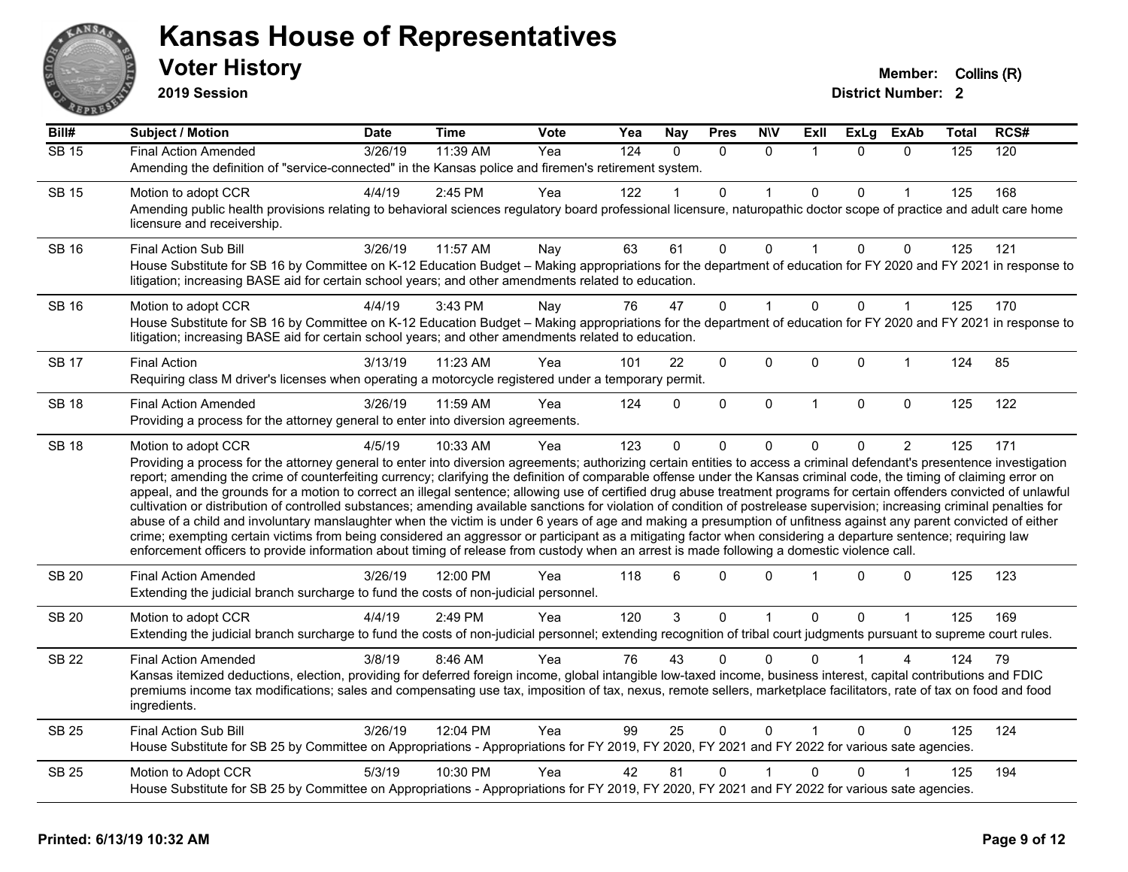

**2019 Session**

| Bill#        | Subject / Motion                                                                                                                                                                                                                                                                                                                                                                                                                                                                                                                                                                                                                                                                                                                                                                                                                                                                                                                                                                                                                                                                                                                                                                                     | <b>Date</b> | Time     | Vote | Yea | <b>Nay</b> | <b>Pres</b> | <b>N\V</b>   | ExII         | ExLg         | ExAb           | Total | RCS# |
|--------------|------------------------------------------------------------------------------------------------------------------------------------------------------------------------------------------------------------------------------------------------------------------------------------------------------------------------------------------------------------------------------------------------------------------------------------------------------------------------------------------------------------------------------------------------------------------------------------------------------------------------------------------------------------------------------------------------------------------------------------------------------------------------------------------------------------------------------------------------------------------------------------------------------------------------------------------------------------------------------------------------------------------------------------------------------------------------------------------------------------------------------------------------------------------------------------------------------|-------------|----------|------|-----|------------|-------------|--------------|--------------|--------------|----------------|-------|------|
| $SB$ 15      | <b>Final Action Amended</b>                                                                                                                                                                                                                                                                                                                                                                                                                                                                                                                                                                                                                                                                                                                                                                                                                                                                                                                                                                                                                                                                                                                                                                          | 3/26/19     | 11:39 AM | Yea  | 124 | $\Omega$   | $\Omega$    | $\Omega$     | 1            | $\Omega$     | $\Omega$       | 125   | 120  |
|              | Amending the definition of "service-connected" in the Kansas police and firemen's retirement system.                                                                                                                                                                                                                                                                                                                                                                                                                                                                                                                                                                                                                                                                                                                                                                                                                                                                                                                                                                                                                                                                                                 |             |          |      |     |            |             |              |              |              |                |       |      |
| <b>SB 15</b> | Motion to adopt CCR                                                                                                                                                                                                                                                                                                                                                                                                                                                                                                                                                                                                                                                                                                                                                                                                                                                                                                                                                                                                                                                                                                                                                                                  | 4/4/19      | 2:45 PM  | Yea  | 122 |            | 0           |              | $\Omega$     | $\Omega$     |                | 125   | 168  |
|              | Amending public health provisions relating to behavioral sciences regulatory board professional licensure, naturopathic doctor scope of practice and adult care home<br>licensure and receivership.                                                                                                                                                                                                                                                                                                                                                                                                                                                                                                                                                                                                                                                                                                                                                                                                                                                                                                                                                                                                  |             |          |      |     |            |             |              |              |              |                |       |      |
| <b>SB 16</b> | Final Action Sub Bill                                                                                                                                                                                                                                                                                                                                                                                                                                                                                                                                                                                                                                                                                                                                                                                                                                                                                                                                                                                                                                                                                                                                                                                | 3/26/19     | 11:57 AM | Nay  | 63  | 61         | 0           | $\mathbf 0$  | $\mathbf{1}$ | 0            | $\mathbf 0$    | 125   | 121  |
|              | House Substitute for SB 16 by Committee on K-12 Education Budget - Making appropriations for the department of education for FY 2020 and FY 2021 in response to<br>litigation; increasing BASE aid for certain school years; and other amendments related to education.                                                                                                                                                                                                                                                                                                                                                                                                                                                                                                                                                                                                                                                                                                                                                                                                                                                                                                                              |             |          |      |     |            |             |              |              |              |                |       |      |
| <b>SB 16</b> | Motion to adopt CCR                                                                                                                                                                                                                                                                                                                                                                                                                                                                                                                                                                                                                                                                                                                                                                                                                                                                                                                                                                                                                                                                                                                                                                                  | 4/4/19      | 3:43 PM  | Nav  | 76  | 47         | $\mathbf 0$ | $\mathbf{1}$ | $\Omega$     | $\Omega$     | $\mathbf{1}$   | 125   | 170  |
|              | House Substitute for SB 16 by Committee on K-12 Education Budget - Making appropriations for the department of education for FY 2020 and FY 2021 in response to<br>litigation; increasing BASE aid for certain school years; and other amendments related to education.                                                                                                                                                                                                                                                                                                                                                                                                                                                                                                                                                                                                                                                                                                                                                                                                                                                                                                                              |             |          |      |     |            |             |              |              |              |                |       |      |
| <b>SB 17</b> | <b>Final Action</b>                                                                                                                                                                                                                                                                                                                                                                                                                                                                                                                                                                                                                                                                                                                                                                                                                                                                                                                                                                                                                                                                                                                                                                                  | 3/13/19     | 11:23 AM | Yea  | 101 | 22         | 0           | 0            | 0            | 0            | $\mathbf{1}$   | 124   | 85   |
|              | Requiring class M driver's licenses when operating a motorcycle registered under a temporary permit.                                                                                                                                                                                                                                                                                                                                                                                                                                                                                                                                                                                                                                                                                                                                                                                                                                                                                                                                                                                                                                                                                                 |             |          |      |     |            |             |              |              |              |                |       |      |
| <b>SB 18</b> | <b>Final Action Amended</b>                                                                                                                                                                                                                                                                                                                                                                                                                                                                                                                                                                                                                                                                                                                                                                                                                                                                                                                                                                                                                                                                                                                                                                          | 3/26/19     | 11:59 AM | Yea  | 124 | $\Omega$   | 0           | $\mathbf 0$  | $\mathbf{1}$ | $\Omega$     | $\mathbf 0$    | 125   | 122  |
|              | Providing a process for the attorney general to enter into diversion agreements.                                                                                                                                                                                                                                                                                                                                                                                                                                                                                                                                                                                                                                                                                                                                                                                                                                                                                                                                                                                                                                                                                                                     |             |          |      |     |            |             |              |              |              |                |       |      |
| <b>SB 18</b> | Motion to adopt CCR                                                                                                                                                                                                                                                                                                                                                                                                                                                                                                                                                                                                                                                                                                                                                                                                                                                                                                                                                                                                                                                                                                                                                                                  | 4/5/19      | 10:33 AM | Yea  | 123 | $\Omega$   | $\Omega$    | $\mathbf 0$  | $\Omega$     | 0            | $\overline{2}$ | 125   | 171  |
|              | Providing a process for the attorney general to enter into diversion agreements; authorizing certain entities to access a criminal defendant's presentence investigation<br>report; amending the crime of counterfeiting currency; clarifying the definition of comparable offense under the Kansas criminal code, the timing of claiming error on<br>appeal, and the grounds for a motion to correct an illegal sentence; allowing use of certified drug abuse treatment programs for certain offenders convicted of unlawful<br>cultivation or distribution of controlled substances; amending available sanctions for violation of condition of postrelease supervision; increasing criminal penalties for<br>abuse of a child and involuntary manslaughter when the victim is under 6 years of age and making a presumption of unfitness against any parent convicted of either<br>crime; exempting certain victims from being considered an aggressor or participant as a mitigating factor when considering a departure sentence; requiring law<br>enforcement officers to provide information about timing of release from custody when an arrest is made following a domestic violence call. |             |          |      |     |            |             |              |              |              |                |       |      |
| <b>SB 20</b> | <b>Final Action Amended</b><br>Extending the judicial branch surcharge to fund the costs of non-judicial personnel.                                                                                                                                                                                                                                                                                                                                                                                                                                                                                                                                                                                                                                                                                                                                                                                                                                                                                                                                                                                                                                                                                  | 3/26/19     | 12:00 PM | Yea  | 118 | 6          | $\Omega$    | $\Omega$     |              | $\Omega$     | $\mathbf 0$    | 125   | 123  |
| <b>SB 20</b> | Motion to adopt CCR                                                                                                                                                                                                                                                                                                                                                                                                                                                                                                                                                                                                                                                                                                                                                                                                                                                                                                                                                                                                                                                                                                                                                                                  | 4/4/19      | 2:49 PM  | Yea  | 120 | 3          | $\mathbf 0$ | $\mathbf{1}$ | $\mathbf 0$  | 0            | $\mathbf{1}$   | 125   | 169  |
|              | Extending the judicial branch surcharge to fund the costs of non-judicial personnel; extending recognition of tribal court judgments pursuant to supreme court rules.                                                                                                                                                                                                                                                                                                                                                                                                                                                                                                                                                                                                                                                                                                                                                                                                                                                                                                                                                                                                                                |             |          |      |     |            |             |              |              |              |                |       |      |
| <b>SB 22</b> | <b>Final Action Amended</b>                                                                                                                                                                                                                                                                                                                                                                                                                                                                                                                                                                                                                                                                                                                                                                                                                                                                                                                                                                                                                                                                                                                                                                          | 3/8/19      | 8:46 AM  | Yea  | 76  | 43         | $\Omega$    | $\Omega$     |              |              |                | 124   | 79   |
|              | Kansas itemized deductions, election, providing for deferred foreign income, global intangible low-taxed income, business interest, capital contributions and FDIC<br>premiums income tax modifications; sales and compensating use tax, imposition of tax, nexus, remote sellers, marketplace facilitators, rate of tax on food and food<br>ingredients.                                                                                                                                                                                                                                                                                                                                                                                                                                                                                                                                                                                                                                                                                                                                                                                                                                            |             |          |      |     |            |             |              |              |              |                |       |      |
| <b>SB 25</b> | Final Action Sub Bill                                                                                                                                                                                                                                                                                                                                                                                                                                                                                                                                                                                                                                                                                                                                                                                                                                                                                                                                                                                                                                                                                                                                                                                | 3/26/19     | 12:04 PM | Yea  | 99  | 25         | $\Omega$    | $\mathbf 0$  |              | $\Omega$     | $\Omega$       | 125   | 124  |
|              | House Substitute for SB 25 by Committee on Appropriations - Appropriations for FY 2019, FY 2020, FY 2021 and FY 2022 for various sate agencies.                                                                                                                                                                                                                                                                                                                                                                                                                                                                                                                                                                                                                                                                                                                                                                                                                                                                                                                                                                                                                                                      |             |          |      |     |            |             |              |              |              |                |       |      |
| <b>SB 25</b> | Motion to Adopt CCR                                                                                                                                                                                                                                                                                                                                                                                                                                                                                                                                                                                                                                                                                                                                                                                                                                                                                                                                                                                                                                                                                                                                                                                  | 5/3/19      | 10:30 PM | Yea  | 42  | 81         | $\Omega$    |              | 0            | $\mathbf{0}$ |                | 125   | 194  |
|              | House Substitute for SB 25 by Committee on Appropriations - Appropriations for FY 2019, FY 2020, FY 2021 and FY 2022 for various sate agencies.                                                                                                                                                                                                                                                                                                                                                                                                                                                                                                                                                                                                                                                                                                                                                                                                                                                                                                                                                                                                                                                      |             |          |      |     |            |             |              |              |              |                |       |      |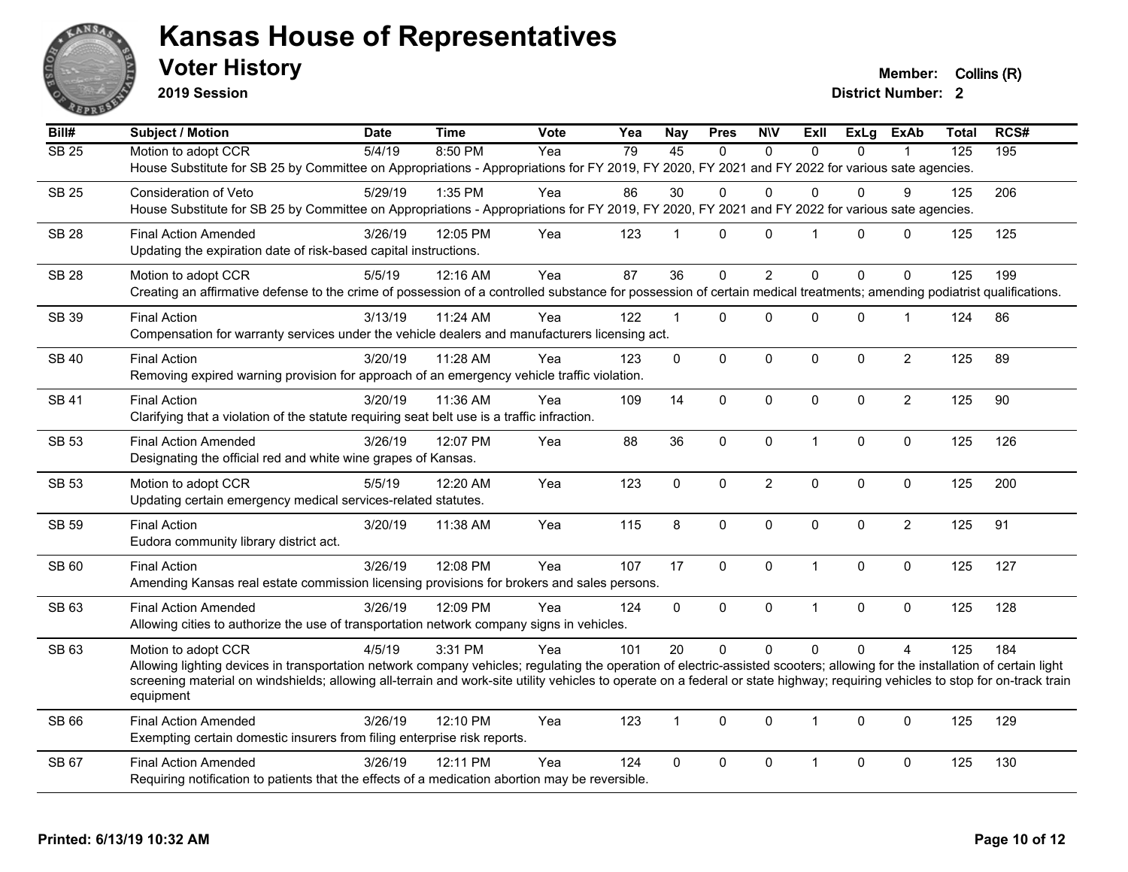

**2019 Session**

**Voter History Member:** Collins (R)

| Bill#        | Subject / Motion                                                                                                                                                                            | <b>Date</b> | <b>Time</b> | Vote | Yea | <b>Nay</b>   | <b>Pres</b>  | <b>NIV</b>     | ExII                 | <b>ExLg</b>  | <b>ExAb</b>    | Total            | RCS# |
|--------------|---------------------------------------------------------------------------------------------------------------------------------------------------------------------------------------------|-------------|-------------|------|-----|--------------|--------------|----------------|----------------------|--------------|----------------|------------------|------|
| <b>SB 25</b> | Motion to adopt CCR                                                                                                                                                                         | 5/4/19      | 8:50 PM     | Yea  | 79  | 45           | $\Omega$     | $\mathbf{0}$   | $\Omega$             | $\Omega$     |                | $\overline{125}$ | 195  |
|              | House Substitute for SB 25 by Committee on Appropriations - Appropriations for FY 2019, FY 2020, FY 2021 and FY 2022 for various sate agencies.                                             |             |             |      |     |              |              |                |                      |              |                |                  |      |
| <b>SB 25</b> | Consideration of Veto                                                                                                                                                                       | 5/29/19     | 1:35 PM     | Yea  | 86  | 30           | 0            | $\mathbf 0$    | 0                    | 0            | 9              | 125              | 206  |
|              | House Substitute for SB 25 by Committee on Appropriations - Appropriations for FY 2019, FY 2020, FY 2021 and FY 2022 for various sate agencies.                                             |             |             |      |     |              |              |                |                      |              |                |                  |      |
| <b>SB 28</b> | <b>Final Action Amended</b>                                                                                                                                                                 | 3/26/19     | 12:05 PM    | Yea  | 123 | $\mathbf{1}$ | $\mathbf 0$  | $\pmb{0}$      | $\blacktriangleleft$ | $\mathbf{0}$ | 0              | 125              | 125  |
|              | Updating the expiration date of risk-based capital instructions.                                                                                                                            |             |             |      |     |              |              |                |                      |              |                |                  |      |
| <b>SB 28</b> | Motion to adopt CCR                                                                                                                                                                         | 5/5/19      | 12:16 AM    | Yea  | 87  | 36           | $\Omega$     | $\overline{2}$ | $\Omega$             | $\Omega$     | $\Omega$       | 125              | 199  |
|              | Creating an affirmative defense to the crime of possession of a controlled substance for possession of certain medical treatments; amending podiatrist qualifications.                      |             |             |      |     |              |              |                |                      |              |                |                  |      |
| SB 39        | <b>Final Action</b>                                                                                                                                                                         | 3/13/19     | 11:24 AM    | Yea  | 122 | $\mathbf{1}$ | 0            | $\mathbf 0$    | $\Omega$             | 0            | $\mathbf{1}$   | 124              | 86   |
|              | Compensation for warranty services under the vehicle dealers and manufacturers licensing act.                                                                                               |             |             |      |     |              |              |                |                      |              |                |                  |      |
| <b>SB 40</b> | <b>Final Action</b>                                                                                                                                                                         | 3/20/19     | 11:28 AM    | Yea  | 123 | $\mathbf 0$  | 0            | $\mathbf 0$    | $\mathbf 0$          | 0            | $\overline{2}$ | 125              | 89   |
|              | Removing expired warning provision for approach of an emergency vehicle traffic violation.                                                                                                  |             |             |      |     |              |              |                |                      |              |                |                  |      |
| <b>SB 41</b> | <b>Final Action</b>                                                                                                                                                                         | 3/20/19     | 11:36 AM    | Yea  | 109 | 14           | $\mathbf{0}$ | $\mathbf 0$    | $\Omega$             | $\mathbf{0}$ | $\overline{2}$ | 125              | 90   |
|              | Clarifying that a violation of the statute requiring seat belt use is a traffic infraction.                                                                                                 |             |             |      |     |              |              |                |                      |              |                |                  |      |
| <b>SB 53</b> | <b>Final Action Amended</b>                                                                                                                                                                 | 3/26/19     | 12:07 PM    | Yea  | 88  | 36           | 0            | $\pmb{0}$      | $\mathbf{1}$         | 0            | $\mathbf 0$    | 125              | 126  |
|              | Designating the official red and white wine grapes of Kansas.                                                                                                                               |             |             |      |     |              |              |                |                      |              |                |                  |      |
| <b>SB 53</b> | Motion to adopt CCR                                                                                                                                                                         | 5/5/19      | 12:20 AM    | Yea  | 123 | $\Omega$     | $\mathbf 0$  | $\overline{c}$ | $\mathbf 0$          | 0            | $\mathbf 0$    | 125              | 200  |
|              | Updating certain emergency medical services-related statutes.                                                                                                                               |             |             |      |     |              |              |                |                      |              |                |                  |      |
| <b>SB 59</b> | <b>Final Action</b>                                                                                                                                                                         | 3/20/19     | 11:38 AM    | Yea  | 115 | 8            | $\mathbf{0}$ | $\mathbf{0}$   | $\Omega$             | $\Omega$     | $\overline{2}$ | 125              | 91   |
|              | Eudora community library district act.                                                                                                                                                      |             |             |      |     |              |              |                |                      |              |                |                  |      |
| SB 60        | <b>Final Action</b>                                                                                                                                                                         | 3/26/19     | 12:08 PM    | Yea  | 107 | 17           | 0            | $\pmb{0}$      | $\mathbf{1}$         | $\pmb{0}$    | $\pmb{0}$      | 125              | 127  |
|              | Amending Kansas real estate commission licensing provisions for brokers and sales persons.                                                                                                  |             |             |      |     |              |              |                |                      |              |                |                  |      |
| SB 63        | <b>Final Action Amended</b>                                                                                                                                                                 | 3/26/19     | 12:09 PM    | Yea  | 124 | $\mathbf 0$  | $\mathbf 0$  | $\pmb{0}$      | $\mathbf{1}$         | 0            | $\pmb{0}$      | 125              | 128  |
|              | Allowing cities to authorize the use of transportation network company signs in vehicles.                                                                                                   |             |             |      |     |              |              |                |                      |              |                |                  |      |
| SB 63        | Motion to adopt CCR                                                                                                                                                                         | 4/5/19      | 3:31 PM     | Yea  | 101 | 20           | $\Omega$     | $\Omega$       | $\Omega$             | $\Omega$     | $\overline{4}$ | 125              | 184  |
|              | Allowing lighting devices in transportation network company vehicles; regulating the operation of electric-assisted scooters; allowing for the installation of certain light                |             |             |      |     |              |              |                |                      |              |                |                  |      |
|              | screening material on windshields; allowing all-terrain and work-site utility vehicles to operate on a federal or state highway; requiring vehicles to stop for on-track train<br>equipment |             |             |      |     |              |              |                |                      |              |                |                  |      |
| SB 66        | <b>Final Action Amended</b>                                                                                                                                                                 | 3/26/19     | 12:10 PM    | Yea  | 123 | $\mathbf{1}$ | $\Omega$     | $\mathbf{0}$   | $\mathbf{1}$         | $\Omega$     | $\mathbf{0}$   | 125              | 129  |
|              | Exempting certain domestic insurers from filing enterprise risk reports.                                                                                                                    |             |             |      |     |              |              |                |                      |              |                |                  |      |
| SB 67        | <b>Final Action Amended</b>                                                                                                                                                                 | 3/26/19     | 12:11 PM    | Yea  | 124 | $\mathbf 0$  | 0            | $\pmb{0}$      | $\mathbf{1}$         | 0            | $\mathbf 0$    | 125              | 130  |
|              | Requiring notification to patients that the effects of a medication abortion may be reversible.                                                                                             |             |             |      |     |              |              |                |                      |              |                |                  |      |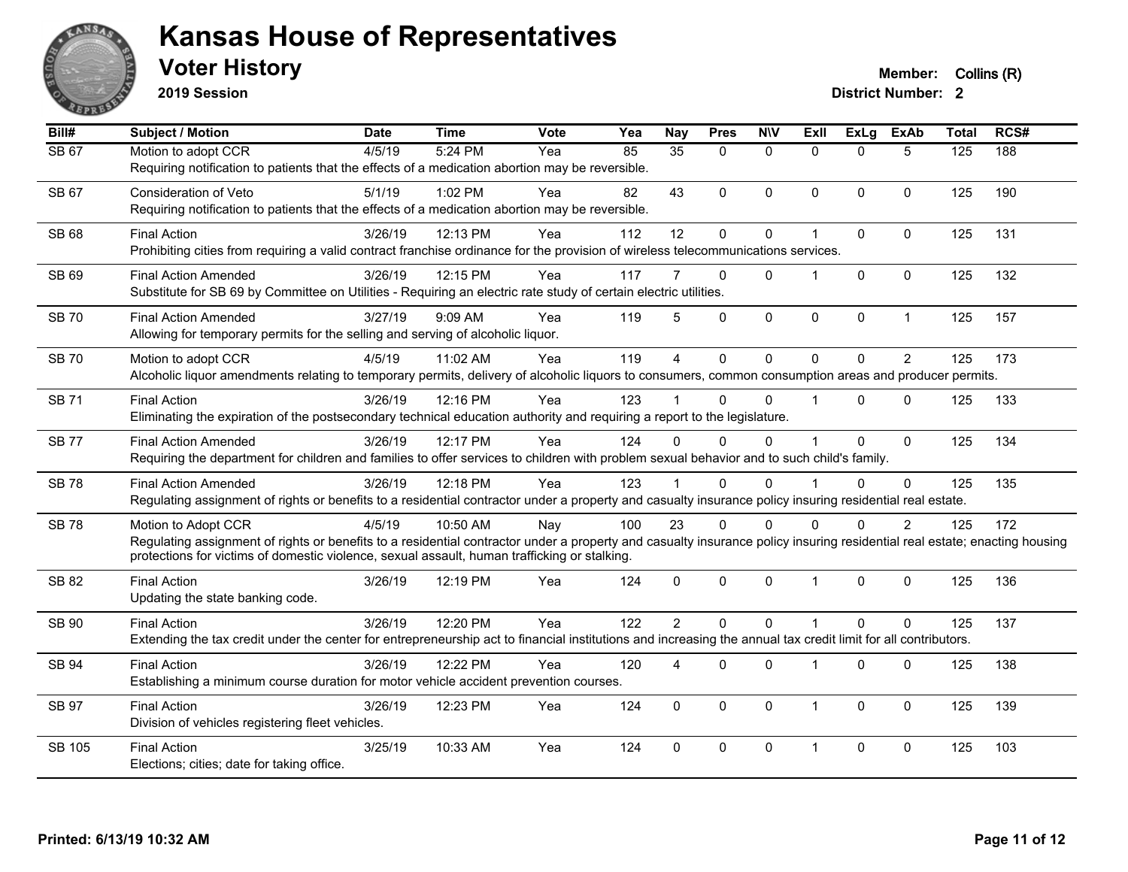

**2019 Session**

| Bill#        | <b>Subject / Motion</b>                                                                                                                                                                                                                                                                          | <b>Date</b> | <b>Time</b> | Vote | Yea | <b>Nay</b>      | <b>Pres</b>  | <b>NIV</b>   | ExII           | <b>ExLg</b>  | <b>ExAb</b>    | <b>Total</b> | RCS# |
|--------------|--------------------------------------------------------------------------------------------------------------------------------------------------------------------------------------------------------------------------------------------------------------------------------------------------|-------------|-------------|------|-----|-----------------|--------------|--------------|----------------|--------------|----------------|--------------|------|
| <b>SB 67</b> | Motion to adopt CCR<br>Requiring notification to patients that the effects of a medication abortion may be reversible.                                                                                                                                                                           | 4/5/19      | 5:24 PM     | Yea  | 85  | $\overline{35}$ | $\Omega$     | $\mathbf{0}$ | $\Omega$       | $\Omega$     | 5              | 125          | 188  |
| SB 67        | <b>Consideration of Veto</b><br>Requiring notification to patients that the effects of a medication abortion may be reversible.                                                                                                                                                                  | 5/1/19      | 1:02 PM     | Yea  | 82  | 43              | $\mathbf{0}$ | $\Omega$     | $\Omega$       | $\mathbf{0}$ | $\mathbf{0}$   | 125          | 190  |
| <b>SB 68</b> | <b>Final Action</b><br>Prohibiting cities from requiring a valid contract franchise ordinance for the provision of wireless telecommunications services.                                                                                                                                         | 3/26/19     | 12:13 PM    | Yea  | 112 | 12              | $\mathbf 0$  | 0            |                | $\mathbf 0$  | $\mathbf{0}$   | 125          | 131  |
| SB 69        | <b>Final Action Amended</b><br>Substitute for SB 69 by Committee on Utilities - Requiring an electric rate study of certain electric utilities.                                                                                                                                                  | 3/26/19     | 12:15 PM    | Yea  | 117 |                 | $\Omega$     | $\Omega$     |                | $\Omega$     | $\mathbf{0}$   | 125          | 132  |
| <b>SB70</b>  | <b>Final Action Amended</b><br>Allowing for temporary permits for the selling and serving of alcoholic liquor.                                                                                                                                                                                   | 3/27/19     | 9:09 AM     | Yea  | 119 | 5               | $\mathbf 0$  | $\mathbf 0$  | $\mathbf{0}$   | $\mathbf 0$  | $\mathbf{1}$   | 125          | 157  |
| <b>SB70</b>  | Motion to adopt CCR<br>Alcoholic liquor amendments relating to temporary permits, delivery of alcoholic liquors to consumers, common consumption areas and producer permits.                                                                                                                     | 4/5/19      | 11:02 AM    | Yea  | 119 | $\overline{A}$  | $\Omega$     | $\Omega$     | $\Omega$       | $\Omega$     | $\overline{2}$ | 125          | 173  |
| <b>SB71</b>  | <b>Final Action</b><br>Eliminating the expiration of the postsecondary technical education authority and requiring a report to the legislature.                                                                                                                                                  | 3/26/19     | 12:16 PM    | Yea  | 123 |                 | $\Omega$     | $\Omega$     |                | $\mathbf{0}$ | $\mathbf{0}$   | 125          | 133  |
| <b>SB77</b>  | <b>Final Action Amended</b><br>Requiring the department for children and families to offer services to children with problem sexual behavior and to such child's family.                                                                                                                         | 3/26/19     | 12:17 PM    | Yea  | 124 | $\Omega$        | $\Omega$     | 0            |                | $\Omega$     | $\mathbf{0}$   | 125          | 134  |
| <b>SB78</b>  | <b>Final Action Amended</b><br>Regulating assignment of rights or benefits to a residential contractor under a property and casualty insurance policy insuring residential real estate.                                                                                                          | 3/26/19     | 12:18 PM    | Yea  | 123 |                 | $\Omega$     | $\Omega$     |                | $\Omega$     | $\Omega$       | 125          | 135  |
| <b>SB78</b>  | Motion to Adopt CCR<br>Regulating assignment of rights or benefits to a residential contractor under a property and casualty insurance policy insuring residential real estate; enacting housing<br>protections for victims of domestic violence, sexual assault, human trafficking or stalking. | 4/5/19      | 10:50 AM    | Nay  | 100 | 23              | $\Omega$     | $\Omega$     | <sup>0</sup>   | $\Omega$     | $\overline{2}$ | 125          | 172  |
| SB 82        | <b>Final Action</b><br>Updating the state banking code.                                                                                                                                                                                                                                          | 3/26/19     | 12:19 PM    | Yea  | 124 | $\Omega$        | $\mathbf{0}$ | 0            | $\overline{1}$ | $\Omega$     | $\mathbf{0}$   | 125          | 136  |
| SB 90        | <b>Final Action</b><br>Extending the tax credit under the center for entrepreneurship act to financial institutions and increasing the annual tax credit limit for all contributors.                                                                                                             | 3/26/19     | 12:20 PM    | Yea  | 122 | $\overline{2}$  | $\Omega$     | $\Omega$     |                | $\Omega$     | $\Omega$       | 125          | 137  |
| SB 94        | <b>Final Action</b><br>Establishing a minimum course duration for motor vehicle accident prevention courses.                                                                                                                                                                                     | 3/26/19     | 12:22 PM    | Yea  | 120 | 4               | $\mathbf{0}$ | 0            |                | $\mathbf 0$  | $\mathbf 0$    | 125          | 138  |
| <b>SB 97</b> | <b>Final Action</b><br>Division of vehicles registering fleet vehicles.                                                                                                                                                                                                                          | 3/26/19     | 12:23 PM    | Yea  | 124 | $\mathbf{0}$    | $\mathbf{0}$ | $\mathbf{0}$ | 1              | $\mathbf{0}$ | $\mathbf{0}$   | 125          | 139  |
| SB 105       | <b>Final Action</b><br>Elections; cities; date for taking office.                                                                                                                                                                                                                                | 3/25/19     | 10:33 AM    | Yea  | 124 | $\Omega$        | $\mathbf{0}$ | $\mathbf{0}$ | 1              | $\Omega$     | $\mathbf{0}$   | 125          | 103  |